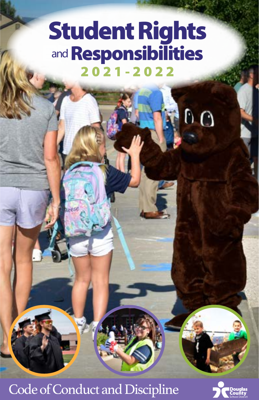# Student Rights and **Responsibilities** 2021-2022

 $0Q$ 

# Code of Conduct and Discipline

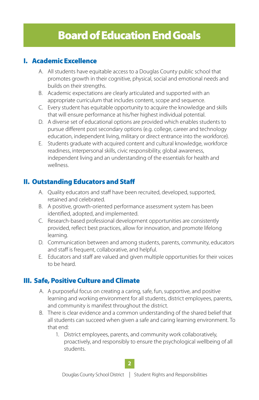## <span id="page-1-0"></span>I. Academic Excellence

- A. All students have equitable access to a Douglas County public school that promotes growth in their cognitive, physical, social and emotional needs and builds on their strengths.
- B. Academic expectations are clearly articulated and supported with an appropriate curriculum that includes content, scope and sequence.
- C. Every student has equitable opportunity to acquire the knowledge and skills that will ensure performance at his/her highest individual potential.
- D. A diverse set of educational options are provided which enables students to pursue different post secondary options (e.g. college, career and technology education, independent living, military or direct entrance into the workforce).
- E. Students graduate with acquired content and cultural knowledge, workforce readiness, interpersonal skills, civic responsibility, global awareness, independent living and an understanding of the essentials for health and wellness.

## II. Outstanding Educators and Staff

- A. Quality educators and staff have been recruited, developed, supported, retained and celebrated.
- B. A positive, growth-oriented performance assessment system has been identified, adopted, and implemented.
- C. Research-based professional development opportunities are consistently provided, reflect best practices, allow for innovation, and promote lifelong learning.
- D. Communication between and among students, parents, community, educators and staff is frequent, collaborative, and helpful.
- E. Educators and staff are valued and given multiple opportunities for their voices to be heard.

## III. Safe, Positive Culture and Climate

- A. A purposeful focus on creating a caring, safe, fun, supportive, and positive learning and working environment for all students, district employees, parents, and community is manifest throughout the district.
- B. There is clear evidence and a common understanding of the shared belief that all students can succeed when given a safe and caring learning environment. To that end:
	- 1. District employees, parents, and community work collaboratively, proactively, and responsibly to ensure the psychological wellbeing of all students.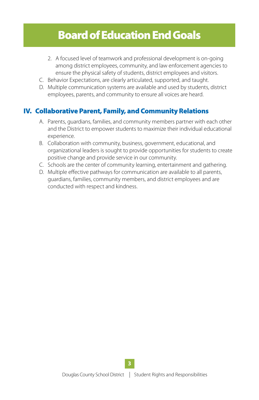# Board of Education End Goals

- 2. A focused level of teamwork and professional development is on-going among district employees, community, and law enforcement agencies to ensure the physical safety of students, district employees and visitors.
- C. Behavior Expectations, are clearly articulated, supported, and taught.
- D. Multiple communication systems are available and used by students, district employees, parents, and community to ensure all voices are heard.

## IV. Collaborative Parent, Family, and Community Relations

- A. Parents, guardians, families, and community members partner with each other and the District to empower students to maximize their individual educational experience.
- B. Collaboration with community, business, government, educational, and organizational leaders is sought to provide opportunities for students to create positive change and provide service in our community.
- C. Schools are the center of community learning, entertainment and gathering.
- D. Multiple effective pathways for communication are available to all parents, guardians, families, community members, and district employees and are conducted with respect and kindness.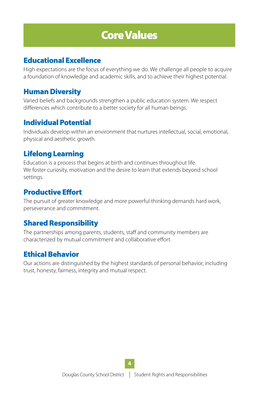# Core Values

## <span id="page-3-0"></span>Educational Excellence

High expectations are the focus of everything we do. We challenge all people to acquire a foundation of knowledge and academic skills, and to achieve their highest potential.

## Human Diversity

Varied beliefs and backgrounds strengthen a public education system. We respect differences which contribute to a better society for all human beings.

## Individual Potential

Individuals develop within an environment that nurtures intellectual, social, emotional, physical and aesthetic growth.

## Lifelong Learning

Education is a process that begins at birth and continues throughout life. We foster curiosity, motivation and the desire to learn that extends beyond school settings.

## Productive Effort

The pursuit of greater knowledge and more powerful thinking demands hard work, perseverance and commitment.

## Shared Responsibility

The partnerships among parents, students, staff and community members are characterized by mutual commitment and collaborative effort.

## Ethical Behavior

Our actions are distinguished by the highest standards of personal behavior, including trust, honesty, fairness, integrity and mutual respect.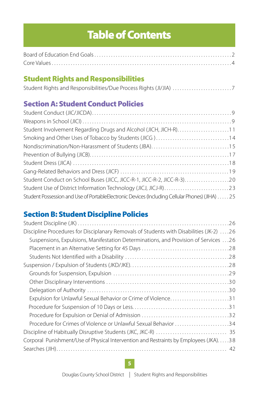# Table of Contents

<span id="page-4-0"></span>

## Student Rights and Responsibilities

|  |  | Student Rights and Responsibilities/Due Process Rights (JI/JIA) 7 |  |
|--|--|-------------------------------------------------------------------|--|
|  |  |                                                                   |  |

## Section A: Student Conduct Policies

| Student Involvement Regarding Drugs and Alcohol (JICH, JICH-R)11                                |  |
|-------------------------------------------------------------------------------------------------|--|
| Smoking and Other Uses of Tobacco by Students (JICG)14                                          |  |
|                                                                                                 |  |
|                                                                                                 |  |
|                                                                                                 |  |
|                                                                                                 |  |
| Student Conduct on School Buses (JICC, JICC-R-1, JICC-R-2, JICC-R-3)                            |  |
|                                                                                                 |  |
| Student Possession and Use of PortableElectronic Devices (Including Cellular Phones) (JIHA)  25 |  |

## Section B: Student Discipline Policies

| Discipline Procedures for Disciplanary Removals of Students with Disabilities (JK-2) 26 |
|-----------------------------------------------------------------------------------------|
| Suspensions, Expulsions, Manifestation Determinations, and Provision of Services 26     |
|                                                                                         |
|                                                                                         |
|                                                                                         |
|                                                                                         |
|                                                                                         |
|                                                                                         |
| Expulsion for Unlawful Sexual Behavior or Crime of Violence31                           |
|                                                                                         |
|                                                                                         |
| Procedure for Crimes of Violence or Unlawful Sexual Behavior 34                         |
|                                                                                         |
| Corporal Punishment/Use of Physical Intervention and Restraints by Employees (JKA)38    |
|                                                                                         |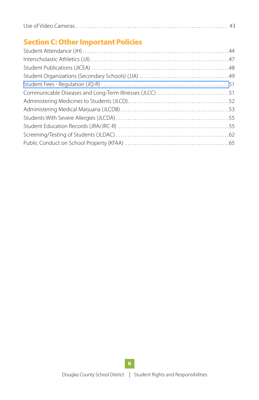## Section C: Other Important Policies

| Communicable Diseases and Long-Term Illnesses (JLCC)51 |  |
|--------------------------------------------------------|--|
|                                                        |  |
|                                                        |  |
|                                                        |  |
|                                                        |  |
|                                                        |  |
|                                                        |  |
|                                                        |  |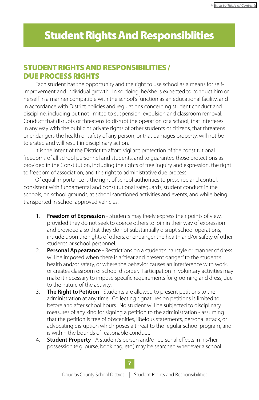# <span id="page-6-0"></span>Student Rights And Responsiblities

## STUDENT RIGHTS AND RESPONSIBILITIES / DUE PROCESS RIGHTS

Each student has the opportunity and the right to use school as a means for selfimprovement and individual growth. In so doing, he/she is expected to conduct him or herself in a manner compatible with the school's function as an educational facility, and in accordance with District policies and regulations concerning student conduct and discipline, including but not limited to suspension, expulsion and classroom removal. Conduct that disrupts or threatens to disrupt the operation of a school, that interferes in any way with the public or private rights of other students or citizens, that threatens or endangers the health or safety of any person, or that damages property, will not be tolerated and will result in disciplinary action.

It is the intent of the District to afford vigilant protection of the constitutional freedoms of all school personnel and students, and to guarantee those protections as provided in the Constitution, including the rights of free inquiry and expression, the right to freedom of association, and the right to administrative due process.

Of equal importance is the right of school authorities to prescribe and control, consistent with fundamental and constitutional safeguards, student conduct in the schools, on school grounds, at school sanctioned activities and events, and while being transported in school approved vehicles.

- 1. **Freedom of Expression** Students may freely express their points of view, provided they do not seek to coerce others to join in their way of expression and provided also that they do not substantially disrupt school operations, intrude upon the rights of others, or endanger the health and/or safety of other students or school personnel.
- 2. **Personal Appearance** Restrictions on a student's hairstyle or manner of dress will be imposed when there is a "clear and present danger" to the student's health and/or safety, or where the behavior causes an interference with work, or creates classroom or school disorder. Participation in voluntary activities may make it necessary to impose specific requirements for grooming and dress, due to the nature of the activity.
- 3. **The Right to Petition** Students are allowed to present petitions to the administration at any time. Collecting signatures on petitions is limited to before and after school hours. No student will be subjected to disciplinary measures of any kind for signing a petition to the administration - assuming that the petition is free of obscenities, libelous statements, personal attack, or advocating disruption which poses a threat to the regular school program, and is within the bounds of reasonable conduct.
- 4. **Student Property** A student's person and/or personal effects in his/her possession (e.g. purse, book bag, etc.) may be searched whenever a school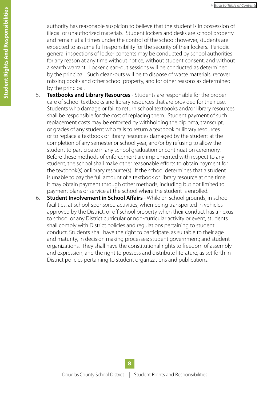authority has reasonable suspicion to believe that the student is in possession of illegal or unauthorized materials. Student lockers and desks are school property and remain at all times under the control of the school; however, students are expected to assume full responsibility for the security of their lockers. Periodic general inspections of locker contents may be conducted by school authorities for any reason at any time without notice, without student consent, and without a search warrant. Locker clean-out sessions will be conducted as determined by the principal. Such clean-outs will be to dispose of waste materials, recover missing books and other school property, and for other reasons as determined by the principal.

- 5. **Textbooks and Library Resources** Students are responsible for the proper care of school textbooks and library resources that are provided for their use. Students who damage or fail to return school textbooks and/or library resources shall be responsible for the cost of replacing them. Student payment of such replacement costs may be enforced by withholding the diploma, transcript, or grades of any student who fails to return a textbook or library resources or to replace a textbook or library resources damaged by the student at the completion of any semester or school year, and/or by refusing to allow the student to participate in any school graduation or continuation ceremony. Before these methods of enforcement are implemented with respect to any student, the school shall make other reasonable efforts to obtain payment for the textbook(s) or library resource(s). If the school determines that a student is unable to pay the full amount of a textbook or library resource at one time, it may obtain payment through other methods, including but not limited to payment plans or service at the school where the student is enrolled.
- 6. **Student Involvement in School Affairs** While on school grounds, in school facilities, at school-sponsored activities, when being transported in vehicles approved by the District, or off school property when their conduct has a nexus to school or any District curricular or non-curricular activity or event, students shall comply with District policies and regulations pertaining to student conduct. Students shall have the right to participate, as suitable to their age and maturity, in decision making processes; student government; and student organizations. They shall have the constitutional rights to freedom of assembly and expression, and the right to possess and distribute literature, as set forth in District policies pertaining to student organizations and publications.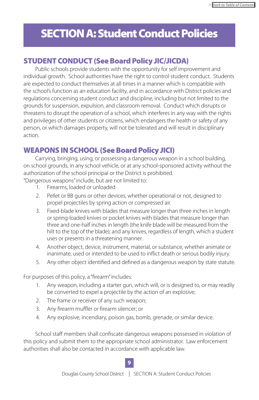# <span id="page-8-0"></span>SECTION A: Student Conduct Policies

## STUDENT CONDUCT (See Board Policy JIC/JICDA)

Public schools provide students with the opportunity for self improvement and individual growth. School authorities have the right to control student conduct. Students are expected to conduct themselves at all times in a manner which is compatible with the school's function as an education facility, and in accordance with District policies and regulations concerning student conduct and discipline, including but not limited to the grounds for suspension, expulsion, and classroom removal. Conduct which disrupts or threatens to disrupt the operation of a school, which interferes in any way with the rights and privileges of other students or citizens, which endangers the health or safety of any person, or which damages property, will not be tolerated and will result in disciplinary action.

## WEAPONS IN SCHOOL (See Board Policy JICI)

Carrying, bringing, using, or possessing a dangerous weapon in a school building, on school grounds, in any school vehicle, or at any school-sponsored activity without the authorization of the school principal or the District is prohibited.

"Dangerous weapons" include, but are not limited to:

- 1. Firearms, loaded or unloaded
- 2. Pellet or BB guns or other devices, whether operational or not, designed to propel projectiles by spring action or compressed air.
- 3. Fixed-blade knives with blades that measure longer than three inches in length or spring-loaded knives or pocket knives with blades that measure longer than three and one-half inches in length (the knife blade will be measured from the hilt to the top of the blade); and any knives, regardless of length, which a student uses or presents in a threatening manner.
- 4. Another object, device, instrument, material, or substance, whether animate or inanimate, used or intended to be used to inflict death or serious bodily injury.
- 5. Any other object identified and defined as a dangerous weapon by state statute.

For purposes of this policy, a "firearm" includes:

- 1. Any weapon, including a starter gun, which will, or is designed to, or may readily be converted to expel a projectile by the action of an explosive;
- 2. The frame or receiver of any such weapon;
- 3. Any firearm muffler or firearm silencer; or
- 4. Any explosive, incendiary, poison gas, bomb, grenade, or similar device.

School staff members shall confiscate dangerous weapons possessed in violation of this policy and submit them to the appropriate school administrator. Law enforcement authorities shall also be contacted in accordance with applicable law.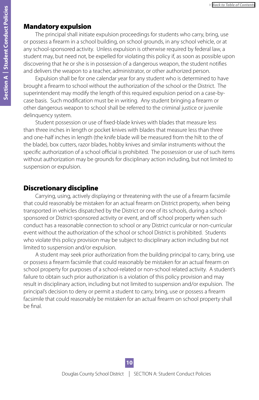### Mandatory expulsion

The principal shall initiate expulsion proceedings for students who carry, bring, use or possess a firearm in a school building, on school grounds, in any school vehicle, or at any school-sponsored activity. Unless expulsion is otherwise required by federal law, a student may, but need not, be expelled for violating this policy if, as soon as possible upon discovering that he or she is in possession of a dangerous weapon, the student notifies and delivers the weapon to a teacher, administrator, or other authorized person.

Expulsion shall be for one calendar year for any student who is determined to have brought a firearm to school without the authorization of the school or the District. The superintendent may modify the length of this required expulsion period on a case-bycase basis. Such modification must be in writing. Any student bringing a firearm or other dangerous weapon to school shall be referred to the criminal justice or juvenile delinquency system.

Student possession or use of fixed-blade knives with blades that measure less than three inches in length or pocket knives with blades that measure less than three and one-half inches in length (the knife blade will be measured from the hilt to the of the blade), box cutters, razor blades, hobby knives and similar instruments without the specific authorization of a school official is prohibited. The possession or use of such items without authorization may be grounds for disciplinary action including, but not limited to suspension or expulsion.

### Discretionary discipline

Carrying, using, actively displaying or threatening with the use of a firearm facsimile that could reasonably be mistaken for an actual firearm on District property, when being transported in vehicles dispatched by the District or one of its schools, during a schoolsponsored or District-sponsored activity or event, and off school property when such conduct has a reasonable connection to school or any District curricular or non-curricular event without the authorization of the school or school District is prohibited. Students who violate this policy provision may be subject to disciplinary action including but not limited to suspension and/or expulsion.

A student may seek prior authorization from the building principal to carry, bring, use or possess a firearm facsimile that could reasonably be mistaken for an actual firearm on school property for purposes of a school-related or non-school related activity. A student's failure to obtain such prior authorization is a violation of this policy provision and may result in disciplinary action, including but not limited to suspension and/or expulsion. The principal's decision to deny or permit a student to carry, bring, use or possess a firearm facsimile that could reasonably be mistaken for an actual firearm on school property shall be final.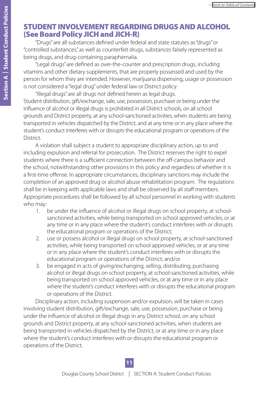## <span id="page-10-0"></span>STUDENT INVOLVEMENT REGARDING DRUGS AND ALCOHOL (See Board Policy JICH and JICH-R)

"Drugs" are all substances defined under federal and state statutes as "drugs" or "controlled substances," as well as counterfeit drugs, substances falsely represented as being drugs, and drug-containing paraphernalia.

"Legal drugs" are defined as over-the-counter and prescription drugs, including vitamins and other dietary supplements, that are properly possessed and used by the person for whom they are intended. However, marijuana dispensing, usage or possession is not considered a "legal drug" under federal law or District policy.

"Illegal drugs" are all drugs not defined herein as legal drugs. Student distribution, gift/exchange, sale, use, possession, purchase or being under the influence of alcohol or illegal drugs is prohibited in all District schools, on all school grounds and District property, at any school-sanctioned activities, when students are being transported in vehicles dispatched by the District, and at any time or in any place where the student's conduct interferes with or disrupts the educational program or operations of the District.

A violation shall subject a student to appropriate disciplinary action, up to and including expulsion and referral for prosecution. The District reserves the right to expel students where there is a sufficient connection between the off-campus behavior and the school, notwithstanding other provisions in this policy and regardless of whether it is a first-time offense. In appropriate circumstances, disciplinary sanctions may include the completion of an approved drug or alcohol abuse rehabilitation program. The regulations shall be in keeping with applicable laws and shall be observed by all staff members. Appropriate procedures shall be followed by all school personnel in working with students who may:

- 1. be under the influence of alcohol or illegal drugs on school property, at schoolsanctioned activities, while being transported on school approved vehicles, or at any time or in any place where the student's conduct interferes with or disrupts the educational program or operations of the District;
- 2. use or possess alcohol or illegal drugs on school property, at school-sanctioned activities, while being transported on school approved vehicles, or at any time or in any place where the student's conduct interferes with or disrupts the educational program or operations of the District; and/or
- 3. be engaged in acts of giving/exchanging, selling, distributing, purchasing alcohol or illegal drugs on school property, at school-sanctioned activities, while being transported on school approved vehicles, or at any time or in any place where the student's conduct interferes with or disrupts the educational program or operations of the District.

Disciplinary action, including suspension and/or expulsion, will be taken in cases involving student distribution, gift/exchange, sale, use, possession, purchase or being under the influence of alcohol or illegal drugs in any District school, on any school grounds and District property, at any school-sanctioned activities, when students are being transported in vehicles dispatched by the District, or at any time or in any place where the student's conduct interferes with or disrupts the educational program or operations of the District.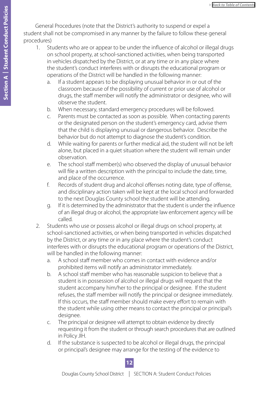General Procedures (note that the District's authority to suspend or expel a student shall not be compromised in any manner by the failure to follow these general procedures)

- 1. Students who are or appear to be under the influence of alcohol or illegal drugs on school property, at school-sanctioned activities, when being transported in vehicles dispatched by the District, or at any time or in any place where the student's conduct interferes with or disrupts the educational program or operations of the District will be handled in the following manner:
	- a. If a student appears to be displaying unusual behavior in or out of the classroom because of the possibility of current or prior use of alcohol or drugs, the staff member will notify the administrator or designee, who will observe the student.
	- b. When necessary, standard emergency procedures will be followed.
	- c. Parents must be contacted as soon as possible. When contacting parents or the designated person on the student's emergency card, advise them that the child is displaying unusual or dangerous behavior. Describe the behavior but do not attempt to diagnose the student's condition.
	- d. While waiting for parents or further medical aid, the student will not be left alone, but placed in a quiet situation where the student will remain under observation.
	- e. The school staff member(s) who observed the display of unusual behavior will file a written description with the principal to include the date, time, and place of the occurrence.
	- f. Records of student drug and alcohol offenses noting date, type of offense, and disciplinary action taken will be kept at the local school and forwarded to the next Douglas County school the student will be attending.
	- g. If it is determined by the administrator that the student is under the influence of an illegal drug or alcohol, the appropriate law enforcement agency will be called.
- 2. Students who use or possess alcohol or illegal drugs on school property, at school-sanctioned activities, or when being transported in vehicles dispatched by the District, or any time or in any place where the student's conduct interferes with or disrupts the educational program or operations of the District, will be handled in the following manner:
	- a. A school staff member who comes in contact with evidence and/or prohibited items will notify an administrator immediately.
	- b. A school staff member who has reasonable suspicion to believe that a student is in possession of alcohol or illegal drugs will request that the student accompany him/her to the principal or designee. If the student refuses, the staff member will notify the principal or designee immediately. If this occurs, the staff member should make every effort to remain with the student while using other means to contact the principal or principal's designee.
	- c. The principal or designee will attempt to obtain evidence by directly requesting it from the student or through search procedures that are outlined in Policy JIH.
	- d. If the substance is suspected to be alcohol or illegal drugs, the principal or principal's designee may arrange for the testing of the evidence to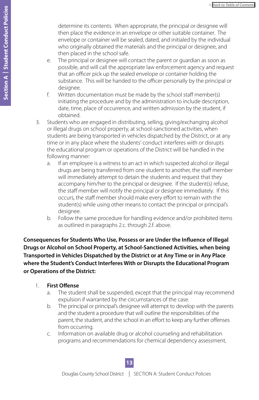determine its contents. When appropriate, the principal or designee will then place the evidence in an envelope or other suitable container. The envelope or container will be sealed, dated, and initialed by the individual who originally obtained the materials and the principal or designee, and then placed in the school safe.

- e. The principal or designee will contact the parent or guardian as soon as possible, and will call the appropriate law enforcement agency and request that an officer pick up the sealed envelope or container holding the substance. This will be handed to the officer personally by the principal or designee.
- f. Written documentation must be made by the school staff member(s) initiating the procedure and by the administration to include description, date, time, place of occurrence, and written admission by the student, if obtained.
- 3. Students who are engaged in distributing, selling, giving/exchanging alcohol or illegal drugs on school property, at school-sanctioned activities, when students are being transported in vehicles dispatched by the District, or at any time or in any place where the students' conduct interferes with or disrupts the educational program or operations of the District will be handled in the following manner:
	- a. If an employee is a witness to an act in which suspected alcohol or illegal drugs are being transferred from one student to another, the staff member will immediately attempt to detain the students and request that they accompany him/her to the principal or designee. If the student(s) refuse, the staff member will notify the principal or designee immediately. If this occurs, the staff member should make every effort to remain with the student(s) while using other means to contact the principal or principal's desianee.
	- b. Follow the same procedure for handling evidence and/or prohibited items as outlined in paragraphs 2.c. through 2.f. above.

**Consequences for Students Who Use, Possess or are Under the Influence of Illegal Drugs or Alcohol on School Property, at School-Sanctioned Activities, when being Transported in Vehicles Dispatched by the District or at Any Time or in Any Place where the Student's Conduct Interferes With or Disrupts the Educational Program or Operations of the District:**

- 1. **First Offense**
	- a. The student shall be suspended, except that the principal may recommend expulsion if warranted by the circumstances of the case.
	- b. The principal or principal's designee will attempt to develop with the parents and the student a procedure that will outline the responsibilities of the parent, the student, and the school in an effort to keep any further offenses from occurring.
	- c. Information on available drug or alcohol counseling and rehabilitation programs and recommendations for chemical dependency assessment,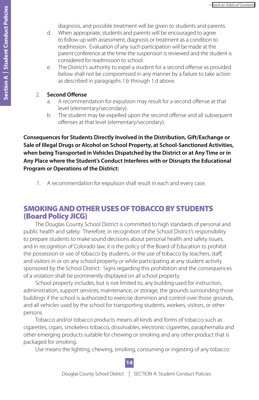diagnosis, and possible treatment will be given to students and parents.

- <span id="page-13-0"></span>d. When appropriate, students and parents will be encouraged to agree to follow up with assessment, diagnosis or treatment as a condition to readmission. Evaluation of any such participation will be made at the parent conference at the time the suspension is reviewed and the student is considered for readmission to school.
- e. The District's authority to expel a student for a second offense as provided below shall not be compromised in any manner by a failure to take action as described in paragraphs 1.b through 1.d above.
- 2. **Second Offense**
	- a. A recommendation for expulsion may result for a second offense at that level (elementary/secondary).
	- b. The student may be expelled upon the second offense and all subsequent offenses at that level (elementary/secondary).

**Consequences for Students Directly Involved in the Distribution, Gift/Exchange or Sale of Illegal Drugs or Alcohol on School Property, at School-Sanctioned Activities, when being Transported in Vehicles Dispatched by the District or at Any Time or in Any Place where the Student's Conduct Interferes with or Disrupts the Educational Program or Operations of the District:**

1. A recommendation for expulsion shall result in each and every case.

## SMOKING AND OTHER USES OF TOBACCO BY STUDENTS (Board Policy JICG)

The Douglas County School District is committed to high standards of personal and public health and safety. Therefore, in recognition of the School District's responsibility to prepare students to make sound decisions about personal health and safety issues, and in recognition of Colorado law, it is the policy of the Board of Education to prohibit the possession or use of tobacco by students, or the use of tobacco by teachers, staff, and visitors in or on any school property or while participating at any student activity sponsored by the School District. Signs regarding this prohibition and the consequences of a violation shall be prominently displayed on all school property.

School property includes, but is not limited to, any building used for instruction, administration, support services, maintenance, or storage, the grounds surrounding those buildings if the school is authorized to exercise dominion and control over those grounds, and all vehicles used by the school for transporting students, workers, visitors, or other persons.

Tobacco and/or tobacco products means all kinds and forms of tobacco such as cigarettes, cigars, smokeless tobacco, dissolvables, electronic cigarettes, paraphernalia and other emerging products suitable for chewing or smoking and any other product that is packaged for smoking.

Use means the lighting, chewing, smoking, consuming or ingesting of any tobacco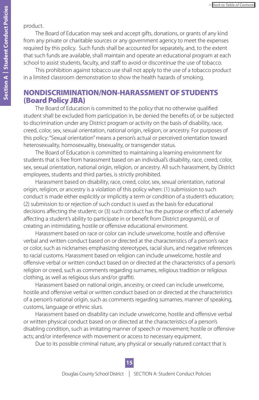#### <span id="page-14-0"></span>product.

The Board of Education may seek and accept gifts, donations, or grants of any kind from any private or charitable sources or any government agency to meet the expenses required by this policy. Such funds shall be accounted for separately, and, to the extent that such funds are available, shall maintain and operate an educational program at each school to assist students, faculty, and staff to avoid or discontinue the use of tobacco.

This prohibition against tobacco use shall not apply to the use of a tobacco product in a limited classroom demonstration to show the health hazards of smoking.

## NONDISCRIMINATION/NON-HARASSMENT OF STUDENTS (Board Policy JBA)

The Board of Education is committed to the policy that no otherwise qualified student shall be excluded from participation in, be denied the benefits of, or be subjected to discrimination under any District program or activity on the basis of disability, race, creed, color, sex, sexual orientation, national origin, religion, or ancestry. For purposes of this policy: "Sexual orientation" means a person's actual or perceived orientation toward heterosexuality, homosexuality, bisexuality, or transgender status.

The Board of Education is committed to maintaining a learning environment for students that is free from harassment based on an individual's disability, race, creed, color, sex, sexual orientation, national origin, religion, or ancestry. All such harassment, by District employees, students and third parties, is strictly prohibited.

Harassment based on disability, race, creed, color, sex, sexual orientation, national origin, religion, or ancestry is a violation of this policy when: (1) submission to such conduct is made either explicitly or implicitly a term or condition of a student's education; (2) submission to or rejection of such conduct is used as the basis for educational decisions affecting the student; or (3) such conduct has the purpose or effect of adversely affecting a student's ability to participate in or benefit from District program(s), or of creating an intimidating, hostile or offensive educational environment.

Harassment based on race or color can include unwelcome, hostile and offensive verbal and written conduct based on or directed at the characteristics of a person's race or color, such as nicknames emphasizing stereotypes, racial slurs, and negative references to racial customs. Harassment based on religion can include unwelcome, hostile and offensive verbal or written conduct based on or directed at the characteristics of a person's religion or creed, such as comments regarding surnames, religious tradition or religious clothing, as well as religious slurs and/or graffiti.

Harassment based on national origin, ancestry, or creed can include unwelcome, hostile and offensive verbal or written conduct based on or directed at the characteristics of a person's national origin, such as comments regarding surnames, manner of speaking, customs, language or ethnic slurs.

Harassment based on disability can include unwelcome, hostile and offensive verbal or written physical conduct based on or directed at the characteristics of a person's disabling condition, such as imitating manner of speech or movement; hostile or offensive acts; and/or interference with movement or access to necessary equipment.

Due to its possible criminal nature, any physical or sexually natured contact that is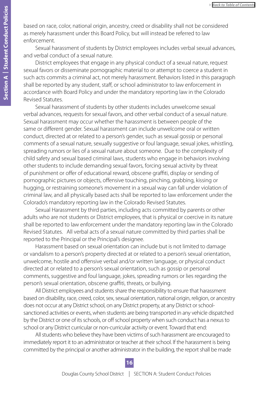based on race, color, national origin, ancestry, creed or disability shall not be considered as merely harassment under this Board Policy, but will instead be referred to law enforcement.

Sexual harassment of students by District employees includes verbal sexual advances, and verbal conduct of a sexual nature.

District employees that engage in any physical conduct of a sexual nature, request sexual favors or disseminate pornographic material to or attempt to coerce a student in such acts commits a criminal act, not merely harassment. Behaviors listed in this paragraph shall be reported by any student, staff, or school administrator to law enforcement in accordance with Board Policy and under the mandatory reporting law in the Colorado Revised Statutes.

Sexual harassment of students by other students includes unwelcome sexual verbal advances, requests for sexual favors, and other verbal conduct of a sexual nature. Sexual harassment may occur whether the harassment is between people of the same or different gender. Sexual harassment can include unwelcome oral or written conduct, directed at or related to a person's gender, such as sexual gossip or personal comments of a sexual nature, sexually suggestive or foul language, sexual jokes, whistling, spreading rumors or lies of a sexual nature about someone. Due to the complexity of child safety and sexual based criminal laws, students who engage in behaviors involving other students to include demanding sexual favors, forcing sexual activity by threat of punishment or offer of educational reward, obscene graffiti, display or sending of pornographic pictures or objects, offensive touching, pinching, grabbing, kissing or hugging, or restraining someone's movement in a sexual way can fall under violation of criminal law, and all physically based acts shall be reported to law enforcement under the Colorado's mandatory reporting law in the Colorado Revised Statutes.

Sexual Harassment by third parties, including acts committed by parents or other adults who are not students or District employees, that is physical or coercive in its nature shall be reported to law enforcement under the mandatory reporting law in the Colorado Revised Statutes. All verbal acts of a sexual nature committed by third parties shall be reported to the Principal or the Principal's designee.

Harassment based on sexual orientation can include but is not limited to damage or vandalism to a person's property directed at or related to a person's sexual orientation, unwelcome, hostile and offensive verbal and/or written language, or physical conduct directed at or related to a person's sexual orientation, such as gossip or personal comments, suggestive and foul language, jokes, spreading rumors or lies regarding the person's sexual orientation, obscene graffiti, threats, or bullying.

All District employees and students share the responsibility to ensure that harassment based on disability, race, creed, color, sex, sexual orientation, national origin, religion, or ancestry does not occur at any District school, on any District property, at any District or schoolsanctioned activities or events, when students are being transported in any vehicle dispatched by the District or one of its schools, or off school property when such conduct has a nexus to school or any District curricular or non-curricular activity or event. Toward that end:

All students who believe they have been victims of such harassment are encouraged to immediately report it to an administrator or teacher at their school. If the harassment is being committed by the principal or another administrator in the building, the report shall be made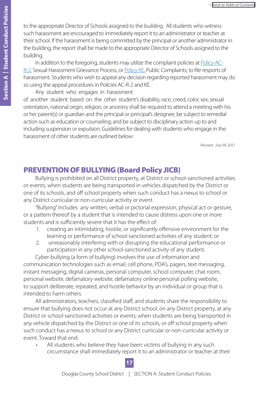<span id="page-16-0"></span>to the appropriate Director of Schools assigned to the building. All students who witness such harassment are encouraged to immediately report it to an administrator or teacher at their school. If the harassment is being committed by the principal or another administrator in the building, the report shall be made to the appropriate Director of Schools assigned to the building.

In addition to the foregoing, students may utilize the complaint policies at [Policy AC-](https://www.dcsdk12.org/common/pages/DisplayFile.aspx?itemId=12265431)[R-2](https://www.dcsdk12.org/common/pages/DisplayFile.aspx?itemId=12265431), Sexual Harassment Grievance Process, or [Policy KE](https://www.dcsdk12.org/common/pages/DisplayFile.aspx?itemId=8287523), Public Complaints, to file resports of harassment. Students who wish to appeal any decision regarding reported harassment may do so using the appeal procedures in Policies AC-R-2 and KE.

Any student who engages in harassment

of another student based on the other student's disability, race, creed, color, sex, sexual orientation, national origin, religion, or ancestry shall be required to attend a meeting with his or her parent(s) or guardian and the principal or principal's designee; be subject to remedial action such as education or counseling; and be subject to disciplinary action up to and including suspension or expulsion. Guidelines for dealing with students who engage in the harassment of other students are outlined below:

Revised: July 09, 2021

## PREVENTION OF BULLYING (Board Policy JICB)

Bullying is prohibited on all District property, at District or school-sanctioned activities or events, when students are being transported in vehicles dispatched by the District or one of its schools, and off school property when such conduct has a nexus to school or any District curricular or non-curricular activity or event.

"Bullying" includes any written, verbal or pictorial expression, physical act or gesture, or a pattern thereof by a student that is intended to cause distress upon one or more students and is sufficiently severe that it has the effect of:

- 1. creating an intimidating, hostile, or significantly offensive environment for the learning or performance of school-sanctioned activities of any student; or
- 2. unreasonably interfering with or disrupting the educational performance or participation in any other school-sanctioned activity of any student.

Cyber-bullying (a form of bullying) involves the use of information and communication technologies such as email, cell phone, PDA's, pagers, text messaging, instant messaging, digital cameras, personal computer, school computer, chat room, personal website, defamatory website, defamatory online personal polling website, to support deliberate, repeated, and hostile behavior by an individual or group that is intended to harm others.

All administrators, teachers, classified staff, and students share the responsibility to ensure that bullying does not occur at any District school, on any District property, at any District or school-sanctioned activities or events, when students are being transported in any vehicle dispatched by the District or one of its schools, or off school property when such conduct has a nexus to school or any District curricular or non-curricular activity or event. Toward that end:

• All students who believe they have been victims of bullying in any such circumstance shall immediately report it to an administrator or teacher at their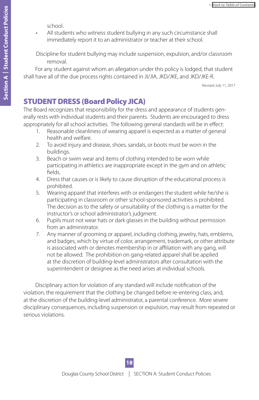school.

<span id="page-17-0"></span>All students who witness student bullying in any such circumstance shall immediately report it to an administrator or teacher at their school.

Discipline for student bullying may include suspension, expulsion, and/or classroom removal.

For any student against whom an allegation under this policy is lodged, that student shall have all of the due process rights contained in JI/JIA, JKD/JKE, and JKD/JKE-R.

Revised July 11, 2017

## STUDENT DRESS (Board Policy JICA)

The Board recognizes that responsibility for the dress and appearance of students generally rests with individual students and their parents. Students are encouraged to dress appropriately for all school activities. The following general standards will be in effect:

- 1. Reasonable cleanliness of wearing apparel is expected as a matter of general health and welfare.
- 2. To avoid injury and disease, shoes, sandals, or boots must be worn in the buildings.
- 3. Beach or swim wear and items of clothing intended to be worn while participating in athletics are inappropriate except in the gym and on athletic fields.
- 4. Dress that causes or is likely to cause disruption of the educational process is prohibited.
- 5. Wearing apparel that interferes with or endangers the student while he/she is participating in classroom or other school-sponsored activities is prohibited. The decision as to the safety or unsuitability of the clothing is a matter for the instructor's or school administrator's judgment.
- 6. Pupils must not wear hats or dark glasses in the building without permission from an administrator.
- 7. Any manner of grooming or apparel, including clothing, jewelry, hats, emblems, and badges, which by virtue of color, arrangement, trademark, or other attribute is associated with or denotes membership in or affiliation with any gang, will not be allowed. The prohibition on gang-related apparel shall be applied at the discretion of building-level administrators after consultation with the superintendent or designee as the need arises at individual schools.

Disciplinary action for violation of any standard will include notification of the violation, the requirement that the clothing be changed before re-entering class, and, at the discretion of the building-level administrator, a parental conference. More severe disciplinary consequences, including suspension or expulsion, may result from repeated or serious violations.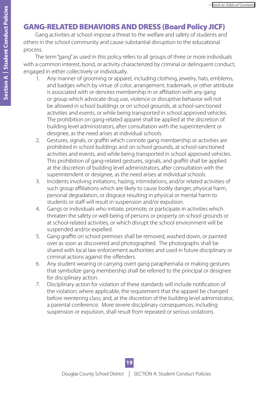## <span id="page-18-0"></span>GANG-RELATED BEHAVIORS AND DRESS (Board Policy JICF)

Gang activities at school impose a threat to the welfare and safety of students and others in the school community and cause substantial disruption to the educational process.

The term "gang" as used in this policy refers to all groups of three or more individuals with a common interest, bond, or activity characterized by criminal or delinquent conduct, engaged in either collectively or individually.

- 1. Any manner of grooming or apparel, including clothing, jewelry, hats, emblems, and badges which by virtue of color, arrangement, trademark, or other attribute is associated with or denotes membership in or affiliation with any gang or group which advocate drug use, violence or disruptive behavior will not be allowed in school buildings or on school grounds, at school-sanctioned activities and events, or while being transported in school approved vehicles. The prohibition on gang-related apparel shall be applied at the discretion of building level administrators, after consultation with the superintendent or designee, as the need arises at individual schools.
- 2. Gestures, signals, or graffiti which connote gang membership or activities are prohibited in school buildings and on school grounds, at school-sanctioned activities and events, and while being transported in school approved vehicles. This prohibition of gang-related gestures, signals, and graffiti shall be applied at the discretion of building level administrators, after consultation with the superintendent or designee, as the need arises at individual schools.
- 3. Incidents involving initiations, hazing, intimidations, and/or related activities of such group affiliations which are likely to cause bodily danger, physical harm, personal degradation, or disgrace resulting in physical or mental harm to students or staff will result in suspension and/or expulsion.
- 4. Gangs or individuals who initiate, promote, or participate in activities which threaten the safety or well-being of persons or property on school grounds or at school-related activities, or which disrupt the school environment will be suspended and/or expelled.
- 5. Gang graffiti on school premises shall be removed, washed down, or painted over as soon as discovered and photographed. The photographs shall be shared with local law enforcement authorities and used in future disciplinary or criminal actions against the offenders.
- 6. Any student wearing or carrying overt gang paraphernalia or making gestures that symbolize gang membership shall be referred to the principal or designee for disciplinary action.
- 7. Disciplinary action for violation of these standards will include notification of the violation; where applicable, the requirement that the apparel be changed before reentering class; and, at the discretion of the building level administrator, a parental conference. More severe disciplinary consequences, including suspension or expulsion, shall result from repeated or serious violations.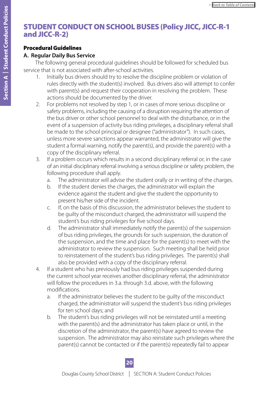## <span id="page-19-0"></span>STUDENT CONDUCT ON SCHOOL BUSES (Policy JICC, JICC-R-1 and JICC-R-2)

#### Procedural Guidelines

#### **A. Regular Daily Bus Service**

The following general procedural guidelines should be followed for scheduled bus service that is not associated with after-school activities.

- 1. Initially bus drivers should try to resolve the discipline problem or violation of rules directly with the student(s) involved. Bus drivers also will attempt to confer with parent(s) and request their cooperation in resolving the problem. These actions should be documented by the driver.
- 2. For problems not resolved by step 1, or in cases of more serious discipline or safety problems, including the causing of a disruption requiring the attention of the bus driver or other school personnel to deal with the disturbance, or in the event of a suspension of activity bus riding privileges, a disciplinary referral shall be made to the school principal or designee ("administrator"). In such cases, unless more severe sanctions appear warranted, the administrator will give the student a formal warning, notify the parent(s), and provide the parent(s) with a copy of the disciplinary referral.
- 3. If a problem occurs which results in a second disciplinary referral or, in the case of an initial disciplinary referral involving a serious discipline or safety problem, the following procedure shall apply.
	- a. The administrator will advise the student orally or in writing of the charges.
	- b. If the student denies the charges, the administrator will explain the evidence against the student and give the student the opportunity to present his/her side of the incident.
	- c. If, on the basis of this discussion, the administrator believes the student to be guilty of the misconduct charged, the administrator will suspend the student's bus riding privileges for five school days.
	- d. The administrator shall immediately notify the parent(s) of the suspension of bus riding privileges, the grounds for such suspension, the duration of the suspension, and the time and place for the parent(s) to meet with the administrator to review the suspension. Such meeting shall be held prior to reinstatement of the student's bus riding privileges. The parent(s) shall also be provided with a copy of the disciplinary referral.
- 4. If a student who has previously had bus riding privileges suspended during the current school year receives another disciplinary referral, the administrator will follow the procedures in 3.a. through 3.d. above, with the following modifications.
	- a. If the administrator believes the student to be guilty of the misconduct charged, the administrator will suspend the student's bus riding privileges for ten school days; and
	- b. The student's bus riding privileges will not be reinstated until a meeting with the parent(s) and the administrator has taken place or until, in the discretion of the administrator, the parent(s) have agreed to review the suspension. The administrator may also reinstate such privileges where the parent(s) cannot be contacted or if the parent(s) repeatedly fail to appear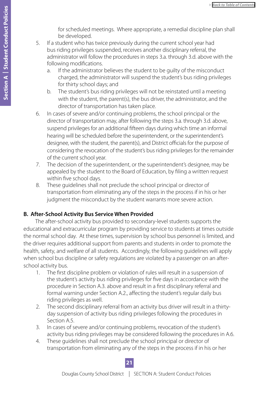for scheduled meetings. Where appropriate, a remedial discipline plan shall be developed.

- 5. If a student who has twice previously during the current school year had bus riding privileges suspended, receives another disciplinary referral, the administrator will follow the procedures in steps 3.a. through 3.d. above with the following modifications.
	- a. If the administrator believes the student to be guilty of the misconduct charged, the administrator will suspend the student's bus riding privileges for thirty school days; and
	- b. The student's bus riding privileges will not be reinstated until a meeting with the student, the parent(s), the bus driver, the administrator, and the director of transportation has taken place.
- 6. In cases of severe and/or continuing problems, the school principal or the director of transportation may, after following the steps 3.a. through 3.d. above, suspend privileges for an additional fifteen days during which time an informal hearing will be scheduled before the superintendent, or the superintendent's designee, with the student, the parent(s), and District officials for the purpose of considering the revocation of the student's bus riding privileges for the remainder of the current school year.
- 7. The decision of the superintendent, or the superintendent's designee, may be appealed by the student to the Board of Education, by filing a written request within five school days.
- 8. These guidelines shall not preclude the school principal or director of transportation from eliminating any of the steps in the process if in his or her judgment the misconduct by the student warrants more severe action.

### **B. After-School Activity Bus Service When Provided**

The after-school activity bus provided to secondary-level students supports the educational and extracurricular program by providing service to students at times outside the normal school day. At these times, supervision by school bus personnel is limited, and the driver requires additional support from parents and students in order to promote the health, safety, and welfare of all students. Accordingly, the following guidelines will apply when school bus discipline or safety regulations are violated by a passenger on an afterschool activity bus.

- 1. The first discipline problem or violation of rules will result in a suspension of the student's activity bus riding privileges for five days in accordance with the procedure in Section A.3. above and result in a first disciplinary referral and formal warning under Section A.2., affecting the student's regular daily bus riding privileges as well.
- 2. The second disciplinary referral from an activity bus driver will result in a thirtyday suspension of activity bus riding privileges following the procedures in Section A.5.
- 3. In cases of severe and/or continuing problems, revocation of the student's activity bus riding privileges may be considered following the procedures in A.6.
- 4. These guidelines shall not preclude the school principal or director of transportation from eliminating any of the steps in the process if in his or her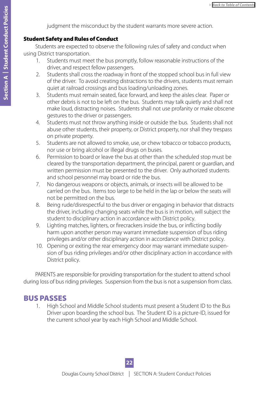judgment the misconduct by the student warrants more severe action.

#### Student Safety and Rules of Conduct

Students are expected to observe the following rules of safety and conduct when using District transportation.

- 1. Students must meet the bus promptly, follow reasonable instructions of the driver, and respect fellow passengers.
- 2. Students shall cross the roadway in front of the stopped school bus in full view of the driver. To avoid creating distractions to the drivers, students must remain quiet at railroad crossings and bus loading/unloading zones.
- 3. Students must remain seated, face forward, and keep the aisles clear. Paper or other debris is not to be left on the bus. Students may talk quietly and shall not make loud, distracting noises. Students shall not use profanity or make obscene gestures to the driver or passengers.
- 4. Students must not throw anything inside or outside the bus. Students shall not abuse other students, their property, or District property, nor shall they trespass on private property.
- 5. Students are not allowed to smoke, use, or chew tobacco or tobacco products, nor use or bring alcohol or illegal drugs on buses.
- 6. Permission to board or leave the bus at other than the scheduled stop must be cleared by the transportation department, the principal, parent or guardian, and written permission must be presented to the driver. Only authorized students and school personnel may board or ride the bus.
- 7. No dangerous weapons or objects, animals, or insects will be allowed to be carried on the bus. Items too large to be held in the lap or below the seats will not be permitted on the bus.
- 8. Being rude/disrespectful to the bus driver or engaging in behavior that distracts the driver, including changing seats while the bus is in motion, will subject the student to disciplinary action in accordance with District policy.
- 9. Lighting matches, lighters, or firecrackers inside the bus, or inflicting bodily harm upon another person may warrant immediate suspension of bus riding privileges and/or other disciplinary action in accordance with District policy.
- 10. Opening or exiting the rear emergency door may warrant immediate suspension of bus riding privileges and/or other disciplinary action in accordance with District policy.

PARENTS are responsible for providing transportation for the student to attend school during loss of bus riding privileges. Suspension from the bus is not a suspension from class.

## BUS PASSES

1. High School and Middle School students must present a Student ID to the Bus Driver upon boarding the school bus. The Student ID is a picture-ID, issued for the current school year by each High School and Middle School.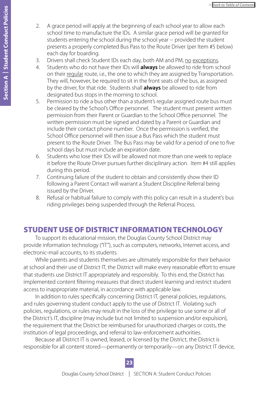- <span id="page-22-0"></span>2. A grace period will apply at the beginning of each school year to allow each school time to manufacture the IDs. A similar grace period will be granted for students entering the school during the school year -- provided the student presents a properly completed Bus Pass to the Route Driver (per Item #5 below) each day for boarding.
- 3. Drivers shall check Student IDs each day, both AM and PM, no exceptions.
- 4. Students who do not have their IDs will **always** be allowed to ride from school on their regular route, i.e., the one to which they are assigned by Transportation. They will, however, be required to sit in the front seats of the bus, as assigned by the driver, for that ride. Students shall **always** be allowed to ride from designated bus stops in the morning to school.
- 5. Permission to ride a bus other than a student's regular assigned route bus must be cleared by the School's Office personnel. The student must present written permission from their Parent or Guardian to the School Office personnel. The written permission must be signed and dated by a Parent or Guardian and include their contact phone number. Once the permission is verified, the School Office personnel will then issue a Bus Pass which the student must present to the Route Driver. The Bus Pass may be valid for a period of one to five school days but must include an expiration date.
- 6. Students who lose their IDs will be allowed not more than one week to replace it before the Route Driver pursues further disciplinary action. Item #4 still applies during this period.
- 7. Continuing failure of the student to obtain and consistently show their ID following a Parent Contact will warrant a Student Discipline Referral being issued by the Driver.
- 8. Refusal or habitual failure to comply with this policy can result in a student's bus riding privileges being suspended through the Referral Process.

## STUDENT USE OF DISTRICT INFORMATION TECHNOLOGY

To support its educational mission, the Douglas County School District may provide information technology ("IT"), such as computers, networks, Internet access, and electronic-mail accounts, to its students.

While parents and students themselves are ultimately responsible for their behavior at school and their use of District IT, the District will make every reasonable effort to ensure that students use District IT appropriately and responsibly. To this end, the District has implemented content filtering measures that direct student learning and restrict student access to inappropriate material, in accordance with applicable law.

In addition to rules specifically concerning District IT, general policies, regulations, and rules governing student conduct apply to the use of District IT. Violating such policies, regulations, or rules may result in the loss of the privilege to use some or all of the District's IT, discipline (may include but not limited to suspension and/or expulsion), the requirement that the District be reimbursed for unauthorized charges or costs, the institution of legal proceedings, and referral to law-enforcement authorities.

Because all District IT is owned, leased, or licensed by the District, the District is responsible for all content stored—permanently or temporarily—on any District IT device,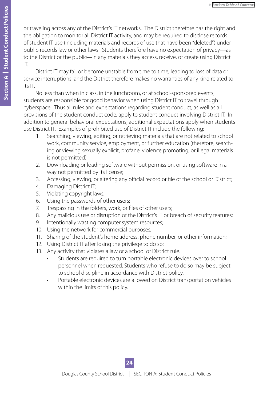or traveling across any of the District's IT networks. The District therefore has the right and the obligation to monitor all District IT activity, and may be required to disclose records of student IT use (including materials and records of use that have been "deleted") under public-records law or other laws. Students therefore have no expectation of privacy—as to the District or the public—in any materials they access, receive, or create using District IT.

District IT may fail or become unstable from time to time, leading to loss of data or service interruptions, and the District therefore makes no warranties of any kind related to its IT.

No less than when in class, in the lunchroom, or at school-sponsored events, students are responsible for good behavior when using District IT to travel through cyberspace. Thus all rules and expectations regarding student conduct, as well as all provisions of the student conduct code, apply to student conduct involving District IT. In addition to general behavioral expectations, additional expectations apply when students use District IT. Examples of prohibited use of District IT include the following:

- 1. Searching, viewing, editing, or retrieving materials that are not related to school work, community service, employment, or further education (therefore, searching or viewing sexually explicit, profane, violence promoting, or illegal materials is not permitted);
- 2. Downloading or loading software without permission, or using software in a way not permitted by its license;
- 3. Accessing, viewing, or altering any official record or file of the school or District;
- 4. Damaging District IT;
- 5. Violating copyright laws;
- 6. Using the passwords of other users;
- 7. Trespassing in the folders, work, or files of other users;
- 8. Any malicious use or disruption of the District's IT or breach of security features;
- 9. Intentionally wasting computer system resources;
- 10. Using the network for commercial purposes;
- 11. Sharing of the student's home address, phone number, or other information;
- 12. Using District IT after losing the privilege to do so;
- 13. Any activity that violates a law or a school or District rule.
	- Students are required to turn portable electronic devices over to school personnel when requested. Students who refuse to do so may be subject to school discipline in accordance with District policy.
	- Portable electronic devices are allowed on District transportation vehicles within the limits of this policy.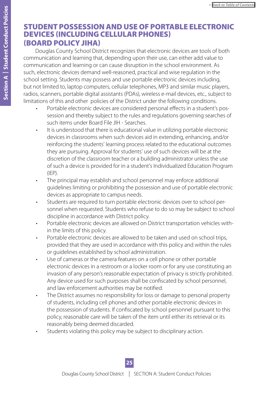## <span id="page-24-0"></span>STUDENT POSSESSION AND USE OF PORTABLE ELECTRONIC DEVICES (INCLUDING CELLULAR PHONES) (BOARD POLICY JIHA)

Douglas County School District recognizes that electronic devices are tools of both communication and learning that, depending upon their use, can either add value to communication and learning or can cause disruption in the school environment. As such, electronic devices demand well-reasoned, practical and wise regulation in the school setting. Students may possess and use portable electronic devices including, but not limited to, laptop computers, cellular telephones, MP3 and similar music players, radios, scanners, portable digital assistants (PDAs), wireless e-mail devices, etc., subject to limitations of this and other policies of the District under the following conditions.

- Portable electronic devices are considered personal effects in a student's possession and thereby subject to the rules and regulations governing searches of such items under Board File JIH - Searches.
- It is understood that there is educational value in utilizing portable electronic devices in classrooms when such devices aid in extending, enhancing, and/or reinforcing the students' learning process related to the educational outcomes they are pursuing. Approval for students' use of such devices will be at the discretion of the classroom teacher or a building administrator unless the use of such a device is provided for in a student's Individualized Education Program  $(IEP)$ .
- The principal may establish and school personnel may enforce additional guidelines limiting or prohibiting the possession and use of portable electronic devices as appropriate to campus needs.
- Students are required to turn portable electronic devices over to school personnel when requested. Students who refuse to do so may be subject to school discipline in accordance with District policy.
- Portable electronic devices are allowed on District transportation vehicles within the limits of this policy.
- Portable electronic devices are allowed to be taken and used on school trips, provided that they are used in accordance with this policy and within the rules or guidelines established by school administration.
- Use of cameras or the camera features on a cell phone or other portable electronic devices in a restroom or a locker room or for any use constituting an invasion of any person's reasonable expectation of privacy is strictly prohibited. Any device used for such purposes shall be confiscated by school personnel, and law enforcement authorities may be notified.
- The District assumes no responsibility for loss or damage to personal property of students, including cell phones and other portable electronic devices in the possession of students. If confiscated by school personnel pursuant to this policy, reasonable care will be taken of the item until either its retrieval or its reasonably being deemed discarded.
- Students violating this policy may be subject to disciplinary action.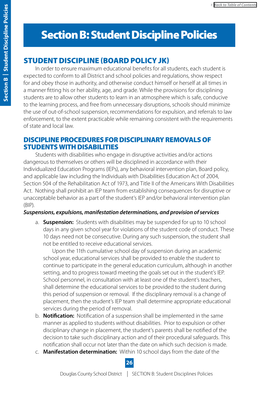# <span id="page-25-0"></span>Section B: Student Discipline Policies

## STUDENT DISCIPLINE (BOARD POLICY JK)

In order to ensure maximum educational benefits for all students, each student is expected to conform to all District and school policies and regulations, show respect for and obey those in authority, and otherwise conduct himself or herself at all times in a manner fitting his or her ability, age, and grade. While the provisions for disciplining students are to allow other students to learn in an atmosphere which is safe, conducive to the learning process, and free from unnecessary disruptions, schools should minimize the use of out-of-school suspension, recommendations for expulsion, and referrals to law enforcement, to the extent practicable while remaining consistent with the requirements of state and local law.

## DISCIPLINE PROCEDURES FOR DISCIPLINARY REMOVALS OF STUDENTS WITH DISABILITIES

Students with disabilities who engage in disruptive activities and/or actions dangerous to themselves or others will be disciplined in accordance with their Individualized Education Programs (IEPs), any behavioral intervention plan, Board policy, and applicable law including the Individuals with Disabilities Education Act of 2004, Section 504 of the Rehabilitation Act of 1973, and Title II of the Americans With Disabilities Act. Nothing shall prohibit an IEP team from establishing consequences for disruptive or unacceptable behavior as a part of the student's IEP and/or behavioral intervention plan (BIP).

## *Suspensions, expulsions, manifestation determinations, and provision of services*

a. **Suspension:** Students with disabilities may be suspended for up to 10 school days in any given school year for violations of the student code of conduct. These 10 days need not be consecutive. During any such suspension, the student shall not be entitled to receive educational services.

 Upon the 11th cumulative school day of suspension during an academic school year, educational services shall be provided to enable the student to continue to participate in the general education curriculum, although in another setting, and to progress toward meeting the goals set out in the student's IEP. School personnel, in consultation with at least one of the student's teachers, shall determine the educational services to be provided to the student during this period of suspension or removal. If the disciplinary removal is a change of placement, then the student's IEP team shall determine appropriate educational services during the period of removal.

- b. **Notification:** Notification of a suspension shall be implemented in the same manner as applied to students without disabilities. Prior to expulsion or other disciplinary change in placement, the student's parents shall be notified of the decision to take such disciplinary action and of their procedural safeguards. This notification shall occur not later than the date on which such decision is made.
- c. **Manifestation determination:** Within 10 school days from the date of the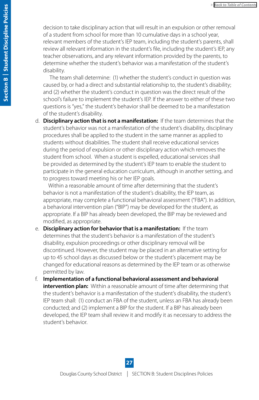decision to take disciplinary action that will result in an expulsion or other removal of a student from school for more than 10 cumulative days in a school year, relevant members of the student's IEP team, including the student's parents, shall review all relevant information in the student's file, including the student's IEP, any teacher observations, and any relevant information provided by the parents, to determine whether the student's behavior was a manifestation of the student's disability.

 The team shall determine: (1) whether the student's conduct in question was caused by, or had a direct and substantial relationship to, the student's disability; and (2) whether the student's conduct in question was the direct result of the school's failure to implement the student's IEP. If the answer to either of these two questions is "yes," the student's behavior shall be deemed to be a manifestation of the student's disability.

d. **Disciplinary action that is not a manifestation:** If the team determines that the student's behavior was not a manifestation of the student's disability, disciplinary procedures shall be applied to the student in the same manner as applied to students without disabilities. The student shall receive educational services during the period of expulsion or other disciplinary action which removes the student from school. When a student is expelled, educational services shall be provided as determined by the student's IEP team to enable the student to participate in the general education curriculum, although in another setting, and to progress toward meeting his or her IEP goals.

 Within a reasonable amount of time after determining that the student's behavior is not a manifestation of the student's disability, the IEP team, as appropriate, may complete a functional behavioral assessment ("FBA"). In addition, a behavioral intervention plan ("BIP") may be developed for the student, as appropriate. If a BIP has already been developed, the BIP may be reviewed and modified, as appropriate.

- e. **Disciplinary action for behavior that is a manifestation:** If the team determines that the student's behavior is a manifestation of the student's disability, expulsion proceedings or other disciplinary removal will be discontinued. However, the student may be placed in an alternative setting for up to 45 school days as discussed below or the student's placement may be changed for educational reasons as determined by the IEP team or as otherwise permitted by law.
- f. **Implementation of a functional behavioral assessment and behavioral intervention plan:** Within a reasonable amount of time after determining that the student's behavior is a manifestation of the student's disability, the student's IEP team shall: (1) conduct an FBA of the student, unless an FBA has already been conducted; and (2) implement a BIP for the student. If a BIP has already been developed, the IEP team shall review it and modify it as necessary to address the student's behavior.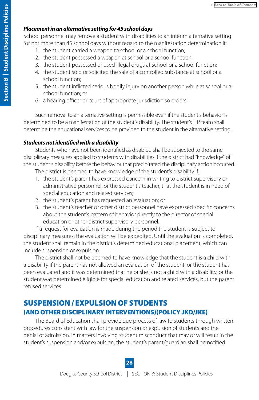#### <span id="page-27-0"></span>*Placement in an alternative setting for 45 school days*

School personnel may remove a student with disabilities to an interim alternative setting for not more than 45 school days without regard to the manifestation determination if:

- 1. the student carried a weapon to school or a school function;
- 2. the student possessed a weapon at school or a school function;
- 3. the student possessed or used illegal drugs at school or a school function;
- 4. the student sold or solicited the sale of a controlled substance at school or a school function;
- 5. the student inflicted serious bodily injury on another person while at school or a school function; or
- 6. a hearing officer or court of appropriate jurisdiction so orders.

Such removal to an alternative setting is permissible even if the student's behavior is determined to be a manifestation of the student's disability. The student's IEP team shall determine the educational services to be provided to the student in the alternative setting.

### *Students not identified with a disability*

Students who have not been identified as disabled shall be subjected to the same disciplinary measures applied to students with disabilities if the district had "knowledge" of the student's disability before the behavior that precipitated the disciplinary action occurred. The district is deemed to have knowledge of the student's disability if:

- 1. the student's parent has expressed concern in writing to district supervisory or administrative personnel, or the student's teacher, that the student is in need of special education and related services;
- 2. the student's parent has requested an evaluation; or
- 3. the student's teacher or other district personnel have expressed specific concerns about the student's pattern of behavior directly to the director of special education or other district supervisory personnel.

If a request for evaluation is made during the period the student is subject to disciplinary measures, the evaluation will be expedited. Until the evaluation is completed, the student shall remain in the district's determined educational placement, which can include suspension or expulsion.

The district shall not be deemed to have knowledge that the student is a child with a disability if the parent has not allowed an evaluation of the student, or the student has been evaluated and it was determined that he or she is not a child with a disability, or the student was determined eligible for special education and related services, but the parent refused services.

## SUSPENSION / EXPULSION OF STUDENTS (AND OTHER DISCIPLINARY INTERVENTIONS)(POLICY JKD/JKE)

The Board of Education shall provide due process of law to students through written procedures consistent with law for the suspension or expulsion of students and the denial of admission. In matters involving student misconduct that may or will result in the student's suspension and/or expulsion, the student's parent/guardian shall be notified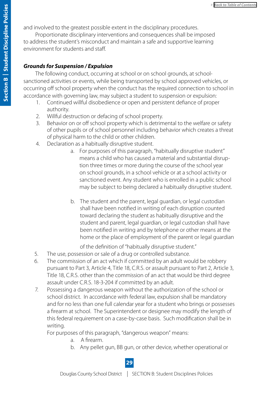<span id="page-28-0"></span>and involved to the greatest possible extent in the disciplinary procedures.

Proportionate disciplinary interventions and consequences shall be imposed to address the student's misconduct and maintain a safe and supportive learning environment for students and staff.

#### *Grounds for Suspension / Expulsion*

The following conduct, occurring at school or on school grounds, at schoolsanctioned activities or events, while being transported by school approved vehicles, or occurring off school property when the conduct has the required connection to school in accordance with governing law, may subject a student to suspension or expulsion:

- 1. Continued willful disobedience or open and persistent defiance of proper authority.
- 2. Willful destruction or defacing of school property.
- 3. Behavior on or off school property which is detrimental to the welfare or safety of other pupils or of school personnel including behavior which creates a threat of physical harm to the child or other children.
- 4. Declaration as a habitually disruptive student.
	- a. For purposes of this paragraph, "habitually disruptive student" means a child who has caused a material and substantial disruption three times or more during the course of the school year on school grounds, in a school vehicle or at a school activity or sanctioned event. Any student who is enrolled in a public school may be subject to being declared a habitually disruptive student.
	- b. The student and the parent, legal guardian, or legal custodian shall have been notified in writing of each disruption counted toward declaring the student as habitually disruptive and the student and parent, legal guardian, or legal custodian shall have been notified in writing and by telephone or other means at the home or the place of employment of the parent or legal guardian

of the definition of "habitually disruptive student."

- 5. The use, possession or sale of a drug or controlled substance.
- 6. The commission of an act which if committed by an adult would be robbery pursuant to Part 3, Article 4, Title 18, C.R.S. or assault pursuant to Part 2, Article 3, Title 18, C.R.S. other than the commission of an act that would be third degree assault under C.R.S. 18-3-204 if committed by an adult.
- 7. Possessing a dangerous weapon without the authorization of the school or school district. In accordance with federal law, expulsion shall be mandatory and for no less than one full calendar year for a student who brings or possesses a firearm at school. The Superintendent or designee may modify the length of this federal requirement on a case-by-case basis. Such modification shall be in writing.

For purposes of this paragraph, "dangerous weapon" means:

- a. A firearm.
- b. Any pellet gun, BB gun, or other device, whether operational or

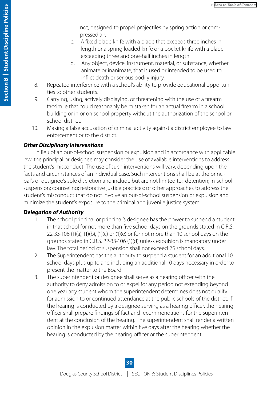not, designed to propel projectiles by spring action or compressed air.

- <span id="page-29-0"></span> c. A fixed blade knife with a blade that exceeds three inches in length or a spring loaded knife or a pocket knife with a blade exceeding three and one-half inches in length.
- d. Any object, device, instrument, material, or substance, whether animate or inanimate, that is used or intended to be used to inflict death or serious bodily injury.
- 8. Repeated interference with a school's ability to provide educational opportunities to other students.
- 9. Carrying, using, actively displaying, or threatening with the use of a firearm facsimile that could reasonably be mistaken for an actual firearm in a school building or in or on school property without the authorization of the school or school district.
- 10. Making a false accusation of criminal activity against a district employee to law enforcement or to the district.

#### *Other Disciplinary Interventions*

In lieu of an out-of-school suspension or expulsion and in accordance with applicable law, the principal or designee may consider the use of available interventions to address the student's misconduct. The use of such interventions will vary, depending upon the facts and circumstances of an individual case. Such interventions shall be at the principal's or designee's sole discretion and include but are not limited to: detention; in-school suspension; counseling; restorative justice practices; or other approaches to address the student's misconduct that do not involve an out-of-school suspension or expulsion and minimize the student's exposure to the criminal and juvenile justice system.

#### *Delegation of Authority*

- 1. The school principal or principal's designee has the power to suspend a student in that school for not more than five school days on the grounds stated in C.R.S. 22-33-106 (1)(a), (1)(b), (1)(c) or (1)(e) or for not more than 10 school days on the grounds stated in C.R.S. 22-33-106 (1)(d) unless expulsion is mandatory under law. The total period of suspension shall not exceed 25 school days.
- 2. The Superintendent has the authority to suspend a student for an additional 10 school days plus up to and including an additional 10 days necessary in order to present the matter to the Board.
- 3. The superintendent or designee shall serve as a hearing officer with the authority to deny admission to or expel for any period not extending beyond one year any student whom the superintendent determines does not qualify for admission to or continued attendance at the public schools of the district. If the hearing is conducted by a designee serving as a hearing officer, the hearing officer shall prepare findings of fact and recommendations for the superintendent at the conclusion of the hearing. The superintendent shall render a written opinion in the expulsion matter within five days after the hearing whether the hearing is conducted by the hearing officer or the superintendent.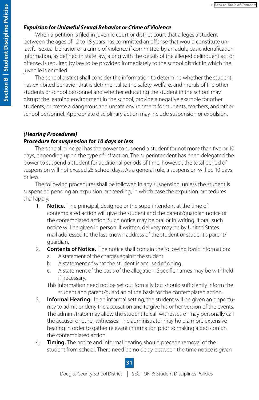#### <span id="page-30-0"></span>*Expulsion for Unlawful Sexual Behavior or Crime of Violence*

When a petition is filed in juvenile court or district court that alleges a student between the ages of 12 to 18 years has committed an offense that would constitute unlawful sexual behavior or a crime of violence if committed by an adult, basic identification information, as defined in state law, along with the details of the alleged delinquent act or offense, is required by law to be provided immediately to the school district in which the juvenile is enrolled.

The school district shall consider the information to determine whether the student has exhibited behavior that is detrimental to the safety, welfare, and morals of the other students or school personnel and whether educating the student in the school may disrupt the learning environment in the school, provide a negative example for other students, or create a dangerous and unsafe environment for students, teachers, and other school personnel. Appropriate disciplinary action may include suspension or expulsion.

## *(Hearing Procedures) Procedure for suspension for 10 days or less*

The school principal has the power to suspend a student for not more than five or 10 days, depending upon the type of infraction. The superintendent has been delegated the power to suspend a student for additional periods of time; however, the total period of suspension will not exceed 25 school days. As a general rule, a suspension will be 10 days or less.

The following procedures shall be followed in any suspension, unless the student is suspended pending an expulsion proceeding, in which case the expulsion procedures shall apply.

- 1. **Notice.** The principal, designee or the superintendent at the time of contemplated action will give the student and the parent/guardian notice of the contemplated action. Such notice may be oral or in writing. If oral, such notice will be given in person. If written, delivery may be by United States mail addressed to the last known address of the student or student's parent/ guardian.
- 2. **Contents of Notice.** The notice shall contain the following basic information:
	- a. A statement of the charges against the student.
	- b. A statement of what the student is accused of doing.
	- c. A statement of the basis of the allegation. Specific names may be withheld if necessary.

This information need not be set out formally but should sufficiently inform the student and parent/guardian of the basis for the contemplated action.

- 3. **Informal Hearing.** In an informal setting, the student will be given an opportunity to admit or deny the accusation and to give his or her version of the events. The administrator may allow the student to call witnesses or may personally call the accuser or other witnesses. The administrator may hold a more extensive hearing in order to gather relevant information prior to making a decision on the contemplated action.
- 4. **Timing.** The notice and informal hearing should precede removal of the student from school. There need be no delay between the time notice is given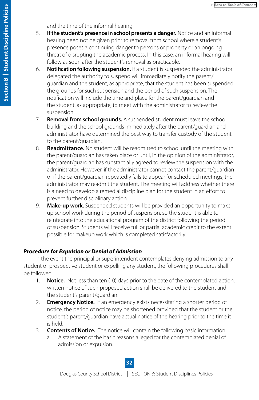and the time of the informal hearing.

- <span id="page-31-0"></span>5. **If the student's presence in school presents a danger.** Notice and an informal hearing need not be given prior to removal from school where a student's presence poses a continuing danger to persons or property or an ongoing threat of disrupting the academic process. In this case, an informal hearing will follow as soon after the student's removal as practicable.
- 6. **Notification following suspension.** If a student is suspended the administrator delegated the authority to suspend will immediately notify the parent/ guardian and the student, as appropriate, that the student has been suspended, the grounds for such suspension and the period of such suspension. The notification will include the time and place for the parent/guardian and the student, as appropriate, to meet with the administrator to review the suspension.
- 7. **Removal from school grounds.** A suspended student must leave the school building and the school grounds immediately after the parent/guardian and administrator have determined the best way to transfer custody of the student to the parent/guardian.
- 8. **Readmittance.** No student will be readmitted to school until the meeting with the parent/guardian has taken place or until, in the opinion of the administrator, the parent/guardian has substantially agreed to review the suspension with the administrator. However, if the administrator cannot contact the parent/guardian or if the parent/guardian repeatedly fails to appear for scheduled meetings, the administrator may readmit the student. The meeting will address whether there is a need to develop a remedial discipline plan for the student in an effort to prevent further disciplinary action.
- 9. **Make-up work.** Suspended students will be provided an opportunity to make up school work during the period of suspension, so the student is able to reintegrate into the educational program of the district following the period of suspension. Students will receive full or partial academic credit to the extent possible for makeup work which is completed satisfactorily.

#### *Procedure for Expulsion or Denial of Admission*

In the event the principal or superintendent contemplates denying admission to any student or prospective student or expelling any student, the following procedures shall be followed:

- 1. **Notice.** Not less than ten (10) days prior to the date of the contemplated action, written notice of such proposed action shall be delivered to the student and the student's parent/guardian.
- 2. **Emergency Notice.** If an emergency exists necessitating a shorter period of notice, the period of notice may be shortened provided that the student or the student's parent/guardian have actual notice of the hearing prior to the time it is held.
- 3. **Contents of Notice.** The notice will contain the following basic information:
	- a. A statement of the basic reasons alleged for the contemplated denial of admission or expulsion.

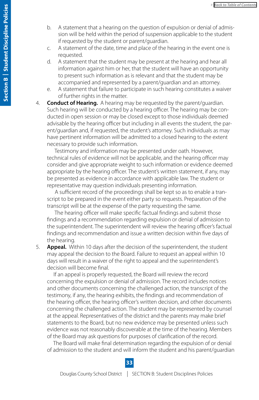- b. A statement that a hearing on the question of expulsion or denial of admission will be held within the period of suspension applicable to the student if requested by the student or parent/guardian.
- c. A statement of the date, time and place of the hearing in the event one is requested.
- d. A statement that the student may be present at the hearing and hear all information against him or her, that the student will have an opportunity to present such information as is relevant and that the student may be accompanied and represented by a parent/guardian and an attorney.
- e. A statement that failure to participate in such hearing constitutes a waiver of further rights in the matter.

4. **Conduct of Hearing.** A hearing may be requested by the parent/guardian. Such hearing will be conducted by a hearing officer. The hearing may be conducted in open session or may be closed except to those individuals deemed advisable by the hearing officer but including in all events the student, the parent/guardian and, if requested, the student's attorney. Such individuals as may have pertinent information will be admitted to a closed hearing to the extent necessary to provide such information.

 Testimony and information may be presented under oath. However, technical rules of evidence will not be applicable, and the hearing officer may consider and give appropriate weight to such information or evidence deemed appropriate by the hearing officer. The student's written statement, if any, may be presented as evidence in accordance with applicable law. The student or representative may question individuals presenting information.

 A sufficient record of the proceedings shall be kept so as to enable a transcript to be prepared in the event either party so requests. Preparation of the transcript will be at the expense of the party requesting the same.

 The hearing officer will make specific factual findings and submit those findings and a recommendation regarding expulsion or denial of admission to the superintendent. The superintendent will review the hearing officer's factual findings and recommendation and issue a written decision within five days of the hearing.

5. **Appeal.** Within 10 days after the decision of the superintendent, the student may appeal the decision to the Board. Failure to request an appeal within 10 days will result in a waiver of the right to appeal and the superintendent's decision will become final.

 If an appeal is properly requested, the Board will review the record concerning the expulsion or denial of admission. The record includes notices and other documents concerning the challenged action, the transcript of the testimony, if any, the hearing exhibits, the findings and recommendation of the hearing officer, the hearing officer's written decision, and other documents concerning the challenged action. The student may be represented by counsel at the appeal. Representatives of the district and the parents may make brief statements to the Board, but no new evidence may be presented unless such evidence was not reasonably discoverable at the time of the hearing. Members of the Board may ask questions for purposes of clarification of the record.

 The Board will make final determination regarding the expulsion of or denial of admission to the student and will inform the student and his parent/guardian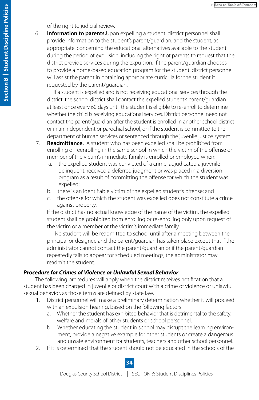#### of the right to judicial review.

<span id="page-33-0"></span>6. **Information to parents.**Upon expelling a student, district personnel shall provide information to the student's parent/guardian, and the student, as appropriate, concerning the educational alternatives available to the student during the period of expulsion, including the right of parents to request that the district provide services during the expulsion. If the parent/guardian chooses to provide a home-based education program for the student, district personnel will assist the parent in obtaining appropriate curricula for the student if requested by the parent/guardian.

 If a student is expelled and is not receiving educational services through the district, the school district shall contact the expelled student's parent/guardian at least once every 60 days until the student is eligible to re-enroll to determine whether the child is receiving educational services. District personnel need not contact the parent/guardian after the student is enrolled in another school district or in an independent or parochial school, or if the student is committed to the department of human services or sentenced through the juvenile justice system.

- 7. **Readmittance.** A student who has been expelled shall be prohibited from enrolling or reenrolling in the same school in which the victim of the offense or member of the victim's immediate family is enrolled or employed when:
	- a. the expelled student was convicted of a crime, adjudicated a juvenile delinquent, received a deferred judgment or was placed in a diversion program as a result of committing the offense for which the student was expelled;
	- b. there is an identifiable victim of the expelled student's offense; and
	- c. the offense for which the student was expelled does not constitute a crime against property.

 If the district has no actual knowledge of the name of the victim, the expelled student shall be prohibited from enrolling or re-enrolling only upon request of the victim or a member of the victim's immediate family.

 No student will be readmitted to school until after a meeting between the principal or designee and the parent/guardian has taken place except that if the administrator cannot contact the parent/guardian or if the parent/guardian repeatedly fails to appear for scheduled meetings, the administrator may readmit the student.

#### *Procedure for Crimes of Violence or Unlawful Sexual Behavior*

The following procedures will apply when the district receives notification that a student has been charged in juvenile or district court with a crime of violence or unlawful sexual behavior, as those terms are defined by state law.

- 1. District personnel will make a preliminary determination whether it will proceed with an expulsion hearing, based on the following factors:
	- a. Whether the student has exhibited behavior that is detrimental to the safety, welfare and morals of other students or school personnel.
	- b. Whether educating the student in school may disrupt the learning environment, provide a negative example for other students or create a dangerous and unsafe environment for students, teachers and other school personnel.
- 2. If it is determined that the student should not be educated in the schools of the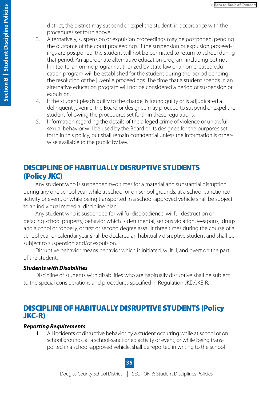district, the district may suspend or expel the student, in accordance with the procedures set forth above.

- <span id="page-34-0"></span>3. Alternatively, suspension or expulsion proceedings may be postponed, pending the outcome of the court proceedings. If the suspension or expulsion proceedings are postponed, the student will not be permitted to return to school during that period. An appropriate alternative education program, including but not limited to, an online program authorized by state law or a home-based education program will be established for the student during the period pending the resolution of the juvenile proceedings. The time that a student spends in an alternative education program will not be considered a period of suspension or expulsion.
- 4. If the student pleads guilty to the charge, is found guilty or is adjudicated a delinquent juvenile, the Board or designee may proceed to suspend or expel the student following the procedures set forth in these regulations.
- 5. Information regarding the details of the alleged crime of violence or unlawful sexual behavior will be used by the Board or its designee for the purposes set forth in this policy, but shall remain confidential unless the information is otherwise available to the public by law.

## DISCIPLINE OF HABITUALLY DISRUPTIVE STUDENTS (Policy JKC)

Any student who is suspended two times for a material and substantial disruption during any one school year while at school or on school grounds, at a school-sanctioned activity or event, or while being transported in a school-approved vehicle shall be subject to an individual remedial discipline plan.

Any student who is suspended for willful disobedience, willful destruction or defacing school property, behavior which is detrimental, serious violation, weapons, drugs and alcohol or robbery, or first or second degree assault three times during the course of a school year or calendar year shall be declared an habitually disruptive student and shall be subject to suspension and/or expulsion.

Disruptive behavior means behavior which is initiated, willful, and overt on the part of the student.

#### *Students with Disabilities*

Discipline of students with disabilities who are habitually disruptive shall be subject to the special considerations and procedures specified in Regulation JKD/JKE-R.

## DISCIPLINE OF HABITUALLY DISRUPTIVE STUDENTS (Policy JKC-R)

#### *Reporting Requirements*

All incidents of disruptive behavior by a student occurring while at school or on school grounds, at a school-sanctioned activity or event, or while being transported in a school-approved vehicle, shall be reported in writing to the school

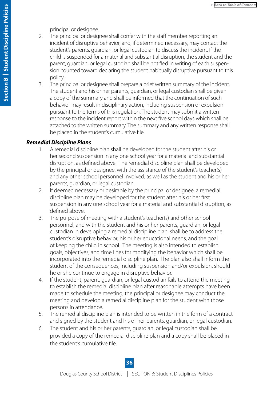principal or designee.

- 2. The principal or designee shall confer with the staff member reporting an incident of disruptive behavior, and, if determined necessary, may contact the student's parents, guardian, or legal custodian to discuss the incident. If the child is suspended for a material and substantial disruption, the student and the parent, guardian, or legal custodian shall be notified in writing of each suspension counted toward declaring the student habitually disruptive pursuant to this policy.
- 3. The principal or designee shall prepare a brief written summary of the incident. The student and his or her parents, guardian, or legal custodian shall be given a copy of the summary and shall be informed that the continuation of such behavior may result in disciplinary action, including suspension or expulsion pursuant to the terms of this regulation. The student may submit a written response to the incident report within the next five school days which shall be attached to the written summary. The summary and any written response shall be placed in the student's cumulative file.

#### *Remedial Discipline Plans*

- 1. A remedial discipline plan shall be developed for the student after his or her second suspension in any one school year for a material and substantial disruption, as defined above. The remedial discipline plan shall be developed by the principal or designee, with the assistance of the student's teacher(s) and any other school personnel involved, as well as the student and his or her parents, guardian, or legal custodian.
- 2. If deemed necessary or desirable by the principal or designee, a remedial discipline plan may be developed for the student after his or her first suspension in any one school year for a material and substantial disruption, as defined above.
- 3. The purpose of meeting with a student's teacher(s) and other school personnel, and with the student and his or her parents, guardian, or legal custodian in developing a remedial discipline plan, shall be to address the student's disruptive behavior, his or her educational needs, and the goal of keeping the child in school. The meeting is also intended to establish goals, objectives, and time lines for modifying the behavior which shall be incorporated into the remedial discipline plan. The plan also shall inform the student of the consequences, including suspension and/or expulsion, should he or she continue to engage in disruptive behavior.
- 4. If the student, parent, guardian, or legal custodian fails to attend the meeting to establish the remedial discipline plan after reasonable attempts have been made to schedule the meeting, the principal or designee may conduct the meeting and develop a remedial discipline plan for the student with those persons in attendance.
- 5. The remedial discipline plan is intended to be written in the form of a contract and signed by the student and his or her parents, guardian, or legal custodian.
- 6. The student and his or her parents, guardian, or legal custodian shall be provided a copy of the remedial discipline plan and a copy shall be placed in the student's cumulative file.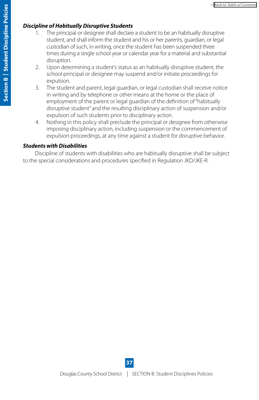#### *Discipline of Habitually Disruptive Students*

- 1. The principal or designee shall declare a student to be an habitually disruptive student, and shall inform the student and his or her parents, guardian, or legal custodian of such, in writing, once the student has been suspended three times during a single school year or calendar year for a material and substantial disruption.
- 2. Upon determining a student's status as an habitually disruptive student, the school principal or designee may suspend and/or initiate proceedings for expulsion.
- 3. The student and parent, legal guardian, or legal custodian shall receive notice in writing and by telephone or other means at the home or the place of employment of the parent or legal guardian of the definition of "habitually disruptive student" and the resulting disciplinary action of suspension and/or expulsion of such students prior to disciplinary action.
- 4. Nothing in this policy shall preclude the principal or designee from otherwise imposing disciplinary action, including suspension or the commencement of expulsion proceedings, at any time against a student for disruptive behavior.

#### *Students with Disabilities*

Discipline of students with disabilities who are habitually disruptive shall be subject to the special considerations and procedures specified in Regulation JKD/JKE-R.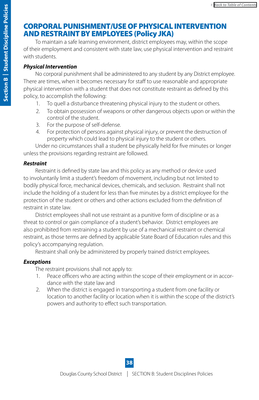## <span id="page-37-0"></span>CORPORAL PUNISHMENT/USE OF PHYSICAL INTERVENTION AND RESTRAINT BY EMPLOYEES (Policy JKA)

To maintain a safe learning environment, district employees may, within the scope of their employment and consistent with state law, use physical intervention and restraint with students.

### *Physical Intervention*

No corporal punishment shall be administered to any student by any District employee. There are times, when it becomes necessary for staff to use reasonable and appropriate physical intervention with a student that does not constitute restraint as defined by this policy, to accomplish the following:

- 1. To quell a disturbance threatening physical injury to the student or others.
- 2. To obtain possession of weapons or other dangerous objects upon or within the control of the student.
- 3. For the purpose of self-defense.
- 4. For protection of persons against physical injury, or prevent the destruction of property which could lead to physical injury to the student or others.

Under no circumstances shall a student be physically held for five minutes or longer unless the provisions regarding restraint are followed.

#### *Restraint*

Restraint is defined by state law and this policy as any method or device used to involuntarily limit a student's freedom of movement, including but not limited to bodily physical force, mechanical devices, chemicals, and seclusion. Restraint shall not include the holding of a student for less than five minutes by a district employee for the protection of the student or others and other actions excluded from the definition of restraint in state law.

District employees shall not use restraint as a punitive form of discipline or as a threat to control or gain compliance of a student's behavior. District employees are also prohibited from restraining a student by use of a mechanical restraint or chemical restraint, as those terms are defined by applicable State Board of Education rules and this policy's accompanying regulation.

Restraint shall only be administered by properly trained district employees.

### *Exceptions*

The restraint provisions shall not apply to:

- 1. Peace officers who are acting within the scope of their employment or in accordance with the state law and
- 2. When the district is engaged in transporting a student from one facility or location to another facility or location when it is within the scope of the district's powers and authority to effect such transportation.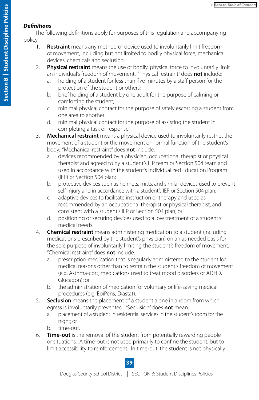#### *Definitions*

The following definitions apply for purposes of this regulation and accompanying policy.

- 1. **Restraint** means any method or device used to involuntarily limit freedom of movement, including but not limited to bodily physical force, mechanical devices, chemicals and seclusion.
- 2. **Physical restraint** means the use of bodily, physical force to involuntarily limit an individual's freedom of movement. "Physical restraint" does **not** include:
	- a. holding of a student for less than five minutes by a staff person for the protection of the student or others;
	- b. brief holding of a student by one adult for the purpose of calming or comforting the student;
	- c. minimal physical contact for the purpose of safely escorting a student from one area to another;
	- d. minimal physical contact for the purpose of assisting the student in completing a task or response.
- 3. **Mechanical restraint** means a physical device used to involuntarily restrict the movement of a student or the movement or normal function of the student's body. "Mechanical restraint" does **not** include:
	- a. devices recommended by a physician, occupational therapist or physical therapist and agreed to by a student's IEP team or Section 504 team and used in accordance with the student's Individualized Education Program (IEP) or Section 504 plan;
	- b. protective devices such as helmets, mitts, and similar devices used to prevent self-injury and in accordance with a student's IEP or Section 504 plan;
	- c. adaptive devices to facilitate instruction or therapy and used as recommended by an occupational therapist or physical therapist, and consistent with a student's IEP or Section 504 plan; or
	- d. positioning or securing devices used to allow treatment of a student's medical needs.
- 4. **Chemical restraint** means administering medication to a student (including medications prescribed by the student's physician) on an as needed basis for the sole purpose of involuntarily limiting the student's freedom of movement. "Chemical restraint" does **not** include:
	- a. prescription medication that is regularly administered to the student for medical reasons other than to restrain the student's freedom of movement (e.g. Asthma-cort, medications used to treat mood disorders or ADHD, Glucagon); or
	- b. the administration of medication for voluntary or life-saving medical procedures (e.g. EpiPens, Diastat).
- 5. **Seclusion** means the placement of a student alone in a room from which egress is involuntarily prevented. "Seclusion" does **not** mean:
	- a. placement of a student in residential services in the student's room for the night; or
	- b. time-out.
- 6. **Time-out** is the removal of the student from potentially rewarding people or situations. A time-out is not used primarily to confine the student, but to limit accessibility to reinforcement. In time-out, the student is not physically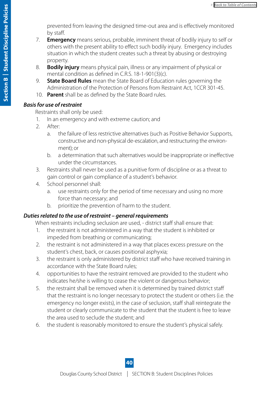prevented from leaving the designed time-out area and is effectively monitored by staff.

- 7. **Emergency** means serious, probable, imminent threat of bodily injury to self or others with the present ability to effect such bodily injury. Emergency includes situation in which the student creates such a threat by abusing or destroying property.
- 8. **Bodily injury** means physical pain, illness or any impairment of physical or mental condition as defined in C.R.S. 18-1-901(3)(c).
- 9. **State Board Rules** mean the State Board of Education rules governing the Administration of the Protection of Persons from Restraint Act, 1CCR 301-45.
- 10. **Parent** shall be as defined by the State Board rules.

### *Basis for use of restraint*

Restraints shall only be used:

- 1. In an emergency and with extreme caution; and
- 2. After:
	- a. the failure of less restrictive alternatives (such as Positive Behavior Supports, constructive and non-physical de-escalation, and restructuring the environment); or
	- b. a determination that such alternatives would be inappropriate or ineffective under the circumstances.
- 3. Restraints shall never be used as a punitive form of discipline or as a threat to gain control or gain compliance of a student's behavior.
- 4. School personnel shall:
	- a. use restraints only for the period of time necessary and using no more force than necessary; and
	- b. prioritize the prevention of harm to the student.

## *Duties related to the use of restraint – general requirements*

When restraints including seclusion are used, - district staff shall ensure that:

- 1. the restraint is not administered in a way that the student is inhibited or impeded from breathing or communicating;
- 2. the restraint is not administered in a way that places excess pressure on the student's chest, back, or causes positional asphyxia;
- 3. the restraint is only administered by district staff who have received training in accordance with the State Board rules;
- 4. opportunities to have the restraint removed are provided to the student who indicates he/she is willing to cease the violent or dangerous behavior;
- 5. the restraint shall be removed when it is determined by trained district staff that the restraint is no longer necessary to protect the student or others (i.e. the emergency no longer exists), in the case of seclusion, staff shall reintegrate the student or clearly communicate to the student that the student is free to leave the area used to seclude the student; and
- 6. the student is reasonably monitored to ensure the student's physical safely.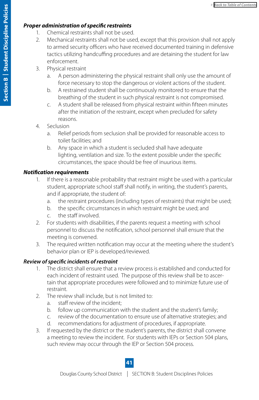#### *Proper administration of specific restraints*

- 1. Chemical restraints shall not be used.
- 2. Mechanical restraints shall not be used, except that this provision shall not apply to armed security officers who have received documented training in defensive tactics utilizing handcuffing procedures and are detaining the student for law enforcement.
- 3. Physical restraint
	- a. A person administering the physical restraint shall only use the amount of force necessary to stop the dangerous or violent actions of the student.
	- b. A restrained student shall be continuously monitored to ensure that the breathing of the student in such physical restraint is not compromised.
	- c. A student shall be released from physical restraint within fifteen minutes after the initiation of the restraint, except when precluded for safety reasons.
- 4. Seclusion
	- a. Relief periods from seclusion shall be provided for reasonable access to toilet facilities; and
	- b. Any space in which a student is secluded shall have adequate lighting, ventilation and size. To the extent possible under the specific circumstances, the space should be free of inuurious items.

#### *Notification requirements*

- 1. If there is a reasonable probability that restraint might be used with a particular student, appropriate school staff shall notify, in writing, the student's parents, and if appropriate, the student of:
	- a. the restraint procedures (including types of restraints) that might be used;
	- b. the specific circumstances in which restraint might be used; and
	- c. the staff involved.
- 2. For students with disabilities, if the parents request a meeting with school personnel to discuss the notification, school personnel shall ensure that the meeting is convened.
- 3. The required written notification may occur at the meeting where the student's behavior plan or IEP is developed/reviewed.

### *Review of specific incidents of restraint*

- 1. The district shall ensure that a review process is established and conducted for each incident of restraint used. The purpose of this review shall be to ascertain that appropriate procedures were followed and to minimize future use of restraint.
- 2. The review shall include, but is not limited to:
	- a. staff review of the incident;
	- b. follow up communication with the student and the student's family;
	- c. review of the documentation to ensure use of alternative strategies; and
	- d. recommendations for adjustment of procedures, if appropriate.
- 3. If requested by the district or the student's parents, the district shall convene a meeting to review the incident. For students with IEPs or Section 504 plans, such review may occur through the IEP or Section 504 process.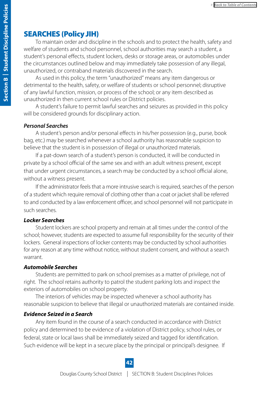## <span id="page-41-0"></span>SEARCHES (Policy JIH)

To maintain order and discipline in the schools and to protect the health, safety and welfare of students and school personnel, school authorities may search a student, a student's personal effects, student lockers, desks or storage areas, or automobiles under the circumstances outlined below and may immediately take possession of any illegal, unauthorized, or contraband materials discovered in the search.

As used in this policy, the term "unauthorized" means any item dangerous or detrimental to the health, safety, or welfare of students or school personnel; disruptive of any lawful function, mission, or process of the school; or any item described as unauthorized in then current school rules or District policies.

A student's failure to permit lawful searches and seizures as provided in this policy will be considered grounds for disciplinary action.

#### *Personal Searches*

A student's person and/or personal effects in his/her possession (e.g., purse, book bag, etc.) may be searched whenever a school authority has reasonable suspicion to believe that the student is in possession of illegal or unauthorized materials.

If a pat-down search of a student's person is conducted, it will be conducted in private by a school official of the same sex and with an adult witness present, except that under urgent circumstances, a search may be conducted by a school official alone, without a witness present.

If the administrator feels that a more intrusive search is required, searches of the person of a student which require removal of clothing other than a coat or jacket shall be referred to and conducted by a law enforcement officer, and school personnel will not participate in such searches.

#### *Locker Searches*

Student lockers are school property and remain at all times under the control of the school; however, students are expected to assume full responsibility for the security of their lockers. General inspections of locker contents may be conducted by school authorities for any reason at any time without notice, without student consent, and without a search warrant.

#### *Automobile Searches*

Students are permitted to park on school premises as a matter of privilege, not of right. The school retains authority to patrol the student parking lots and inspect the exteriors of automobiles on school property.

The interiors of vehicles may be inspected whenever a school authority has reasonable suspicion to believe that illegal or unauthorized materials are contained inside.

#### *Evidence Seized in a Search*

Any item found in the course of a search conducted in accordance with District policy and determined to be evidence of a violation of District policy, school rules, or federal, state or local laws shall be immediately seized and tagged for identification. Such evidence will be kept in a secure place by the principal or principal's designee. If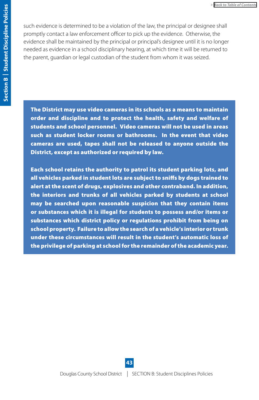<span id="page-42-0"></span>such evidence is determined to be a violation of the law, the principal or designee shall promptly contact a law enforcement officer to pick up the evidence. Otherwise, the evidence shall be maintained by the principal or principal's designee until it is no longer needed as evidence in a school disciplinary hearing, at which time it will be returned to the parent, guardian or legal custodian of the student from whom it was seized.

The District may use video cameras in its schools as a means to maintain order and discipline and to protect the health, safety and welfare of students and school personnel. Video cameras will not be used in areas such as student locker rooms or bathrooms. In the event that video cameras are used, tapes shall not be released to anyone outside the District, except as authorized or required by law.

Each school retains the authority to patrol its student parking lots, and all vehicles parked in student lots are subject to sniffs by dogs trained to alert at the scent of drugs, explosives and other contraband. In addition, the interiors and trunks of all vehicles parked by students at school may be searched upon reasonable suspicion that they contain items or substances which it is illegal for students to possess and/or items or substances which district policy or regulations prohibit from being on school property. Failure to allow the search of a vehicle's interior or trunk under these circumstances will result in the student's automatic loss of the privilege of parking at school for the remainder of the academic year.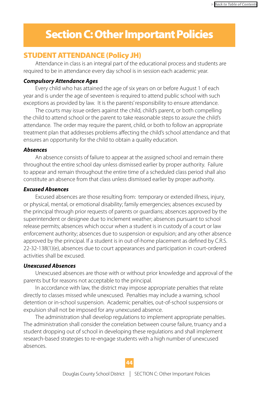## <span id="page-43-0"></span>Section C: Other Important Policies

## STUDENT ATTENDANCE (Policy JH)

Attendance in class is an integral part of the educational process and students are required to be in attendance every day school is in session each academic year.

#### *Compulsory Attendance Ages*

Every child who has attained the age of six years on or before August 1 of each year and is under the age of seventeen is required to attend public school with such exceptions as provided by law. It is the parents' responsibility to ensure attendance.

The courts may issue orders against the child, child's parent, or both compelling the child to attend school or the parent to take reasonable steps to assure the child's attendance. The order may require the parent, child, or both to follow an appropriate treatment plan that addresses problems affecting the child's school attendance and that ensures an opportunity for the child to obtain a quality education.

#### *Absences*

An absence consists of failure to appear at the assigned school and remain there throughout the entire school day unless dismissed earlier by proper authority. Failure to appear and remain throughout the entire time of a scheduled class period shall also constitute an absence from that class unless dismissed earlier by proper authority.

#### *Excused Absences*

Excused absences are those resulting from: temporary or extended illness, injury, or physical, mental, or emotional disability; family emergencies; absences excused by the principal through prior requests of parents or guardians; absences approved by the superintendent or designee due to inclement weather; absences pursuant to school release permits; absences which occur when a student is in custody of a court or law enforcement authority; absences due to suspension or expulsion; and any other absence approved by the principal. If a student is in out-of-home placement as defined by C.R.S. 22-32-138(1)(e), absences due to court appearances and participation in court-ordered activities shall be excused.

#### *Unexcused Absences*

Unexcused absences are those with or without prior knowledge and approval of the parents but for reasons not acceptable to the principal.

In accordance with law, the district may impose appropriate penalties that relate directly to classes missed while unexcused. Penalties may include a warning, school detention or in-school suspension. Academic penalties, out-of-school suspensions or expulsion shall not be imposed for any unexcused absence.

The administration shall develop regulations to implement appropriate penalties. The administration shall consider the correlation between course failure, truancy and a student dropping out of school in developing these regulations and shall implement research-based strategies to re-engage students with a high number of unexcused absences.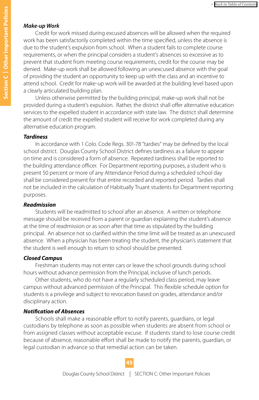#### *Make-up Work*

Credit for work missed during excused absences will be allowed when the required work has been satisfactorily completed within the time specified, unless the absence is due to the student's expulsion from school. When a student fails to complete course requirements, or when the principal considers a student's absences so excessive as to prevent that student from meeting course requirements, credit for the course may be denied. Make-up work shall be allowed following an unexcused absence with the goal of providing the student an opportunity to keep up with the class and an incentive to attend school. Credit for make-up work will be awarded at the building level based upon a clearly articulated building plan.

Unless otherwise permitted by the building principal, make-up work shall not be provided during a student's expulsion. Rather, the district shall offer alternative education services to the expelled student in accordance with state law. The district shall determine the amount of credit the expelled student will receive for work completed during any alternative education program.

#### *Tardiness*

In accordance with 1 Colo. Code Regs. 301-78 "tardies" may be defined by the local school district. Douglas County School District defines tardiness as a failure to appear on time and is considered a form of absence. Repeated tardiness shall be reported to the building attendance officer. For Department reporting purposes, a student who is present 50 percent or more of any Attendance Period during a scheduled school day shall be considered present for that entire recorded and reported period. Tardies shall not be included in the calculation of Habitually Truant students for Department reporting purposes.

#### *Readmission*

Students will be readmitted to school after an absence. A written or telephone message should be received from a parent or guardian explaining the student's absence at the time of readmission or as soon after that time as stipulated by the building principal. An absence not so clarified within the time limit will be treated as an unexcused absence. When a physician has been treating the student, the physician's statement that the student is well enough to return to school should be presented.

#### *Closed Campus*

Freshman students may not enter cars or leave the school grounds during school hours without advance permission from the Principal, inclusive of lunch periods.

Other students, who do not have a regularly scheduled class period, may leave campus without advanced permission of the Principal. This flexible schedule option for students is a privilege and subject to revocation based on grades, attendance and/or disciplinary action.

#### *Notification of Absences*

Schools shall make a reasonable effort to notify parents, guardians, or legal custodians by telephone as soon as possible when students are absent from school or from assigned classes without acceptable excuse. If students stand to lose course credit because of absence, reasonable effort shall be made to notify the parents, guardian, or legal custodian in advance so that remedial action can be taken.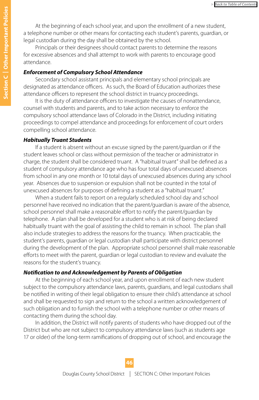At the beginning of each school year, and upon the enrollment of a new student, a telephone number or other means for contacting each student's parents, guardian, or legal custodian during the day shall be obtained by the school.

Principals or their designees should contact parents to determine the reasons for excessive absences and shall attempt to work with parents to encourage good attendance.

#### *Enforcement of Compulsory School Attendance*

Secondary school assistant principals and elementary school principals are designated as attendance officers. As such, the Board of Education authorizes these attendance officers to represent the school district in truancy proceedings.

It is the duty of attendance officers to investigate the causes of nonattendance, counsel with students and parents, and to take action necessary to enforce the compulsory school attendance laws of Colorado in the District, including initiating proceedings to compel attendance and proceedings for enforcement of court orders compelling school attendance.

#### *Habitually Truant Students*

If a student is absent without an excuse signed by the parent/guardian or if the student leaves school or class without permission of the teacher or administrator in charge, the student shall be considered truant. A "habitual truant" shall be defined as a student of compulsory attendance age who has four total days of unexcused absences from school in any one month or 10 total days of unexcused absences during any school year. Absences due to suspension or expulsion shall not be counted in the total of unexcused absences for purposes of defining a student as a "habitual truant."

When a student fails to report on a regularly scheduled school day and school personnel have received no indication that the parent/guardian is aware of the absence, school personnel shall make a reasonable effort to notify the parent/guardian by telephone. A plan shall be developed for a student who is at risk of being declared habitually truant with the goal of assisting the child to remain in school. The plan shall also include strategies to address the reasons for the truancy. When practicable, the student's parents, guardian or legal custodian shall participate with district personnel during the development of the plan. Appropriate school personnel shall make reasonable efforts to meet with the parent, guardian or legal custodian to review and evaluate the reasons for the student's truancy.

#### *Notification to and Acknowledgement by Parents of Obligation*

At the beginning of each school year, and upon enrollment of each new student subject to the compulsory attendance laws, parents, guardians, and legal custodians shall be notified in writing of their legal obligation to ensure their child's attendance at school and shall be requested to sign and return to the school a written acknowledgement of such obligation and to furnish the school with a telephone number or other means of contacting them during the school day.

In addition, the District will notify parents of students who have dropped out of the District but who are not subject to compulsory attendance laws (such as students age 17 or older) of the long-term ramifications of dropping out of school, and encourage the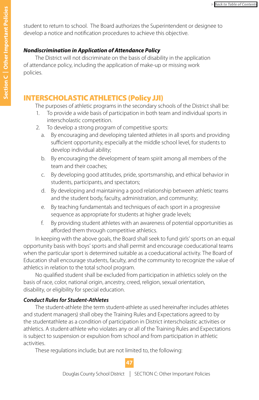<span id="page-46-0"></span>student to return to school. The Board authorizes the Superintendent or designee to develop a notice and notification procedures to achieve this objective.

#### *Nondiscrimination in Application of Attendance Policy*

The District will not discriminate on the basis of disability in the application of attendance policy, including the application of make-up or missing work policies.

## INTERSCHOLASTIC ATHLETICS (Policy JJI)

The purposes of athletic programs in the secondary schools of the District shall be:

- 1. To provide a wide basis of participation in both team and individual sports in interscholastic competition.
- 2. To develop a strong program of competitive sports:
	- a. By encouraging and developing talented athletes in all sports and providing sufficient opportunity, especially at the middle school level, for students to develop individual ability;
	- b. By encouraging the development of team spirit among all members of the team and their coaches;
	- c. By developing good attitudes, pride, sportsmanship, and ethical behavior in students, participants, and spectators;
	- d. By developing and maintaining a good relationship between athletic teams and the student body, faculty, administration, and community;
	- e. By teaching fundamentals and techniques of each sport in a progressive sequence as appropriate for students at higher grade levels;
	- f. By providing student athletes with an awareness of potential opportunities as afforded them through competitive athletics.

In keeping with the above goals, the Board shall seek to fund girls' sports on an equal opportunity basis with boys' sports and shall permit and encourage coeducational teams when the particular sport is determined suitable as a coeducational activity. The Board of Education shall encourage students, faculty, and the community to recognize the value of athletics in relation to the total school program.

 No qualified student shall be excluded from participation in athletics solely on the basis of race, color, national origin, ancestry, creed, religion, sexual orientation, disability, or eligibility for special education.

#### *Conduct Rules for Student-Athletes*

The student-athlete (the term student-athlete as used hereinafter includes athletes and student managers) shall obey the Training Rules and Expectations agreed to by the studentathlete as a condition of participation in District interscholastic activities or athletics. A student-athlete who violates any or all of the Training Rules and Expectations is subject to suspension or expulsion from school and from participation in athletic activities.

These regulations include, but are not limited to, the following: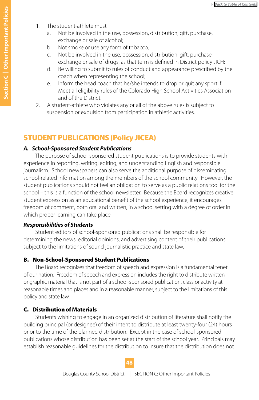- <span id="page-47-0"></span>1. The student-athlete must
	- a. Not be involved in the use, possession, distribution, gift, purchase, exchange or sale of alcohol;
	- b. Not smoke or use any form of tobacco;
	- c. Not be involved in the use, possession, distribution, gift, purchase, exchange or sale of drugs, as that term is defined in District policy JICH;
	- d. Be willing to submit to rules of conduct and appearance prescribed by the coach when representing the school;
	- e. Inform the head coach that he/she intends to drop or quit any sport; f. Meet all eligibility rules of the Colorado High School Activities Association and of the District.
- 2. A student-athlete who violates any or all of the above rules is subject to suspension or expulsion from participation in athletic activities.

## STUDENT PUBLICATIONS (Policy JICEA)

#### *A. School-Sponsored Student Publications*

The purpose of school-sponsored student publications is to provide students with experience in reporting, writing, editing, and understanding English and responsible journalism. School newspapers can also serve the additional purpose of disseminating school-related information among the members of the school community. However, the student publications should not feel an obligation to serve as a public relations tool for the school – this is a function of the school newsletter. Because the Board recognizes creative student expression as an educational benefit of the school experience, it encourages freedom of comment, both oral and written, in a school setting with a degree of order in which proper learning can take place.

#### *Responsibilities of Students*

Student editors of school-sponsored publications shall be responsible for determining the news, editorial opinions, and advertising content of their publications subject to the limitations of sound journalistic practice and state law.

#### B. Non-School-Sponsored Student Publications

The Board recognizes that freedom of speech and expression is a fundamental tenet of our nation. Freedom of speech and expression includes the right to distribute written or graphic material that is not part of a school-sponsored publication, class or activity at reasonable times and places and in a reasonable manner, subject to the limitations of this policy and state law.

#### C. Distribution of Materials

Students wishing to engage in an organized distribution of literature shall notify the building principal (or designee) of their intent to distribute at least twenty-four (24) hours prior to the time of the planned distribution. Except in the case of school-sponsored publications whose distribution has been set at the start of the school year. Principals may establish reasonable guidelines for the distribution to insure that the distribution does not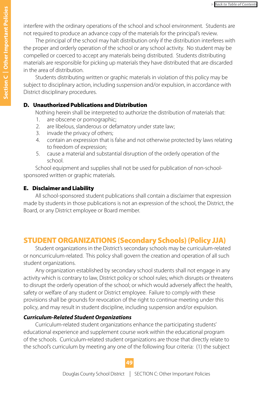<span id="page-48-0"></span>interfere with the ordinary operations of the school and school environment. Students are not required to produce an advance copy of the materials for the principal's review.

The principal of the school may halt distribution only if the distribution interferes with the proper and orderly operation of the school or any school activity. No student may be compelled or coerced to accept any materials being distributed. Students distributing materials are responsible for picking up materials they have distributed that are discarded in the area of distribution.

Students distributing written or graphic materials in violation of this policy may be subject to disciplinary action, including suspension and/or expulsion, in accordance with District disciplinary procedures.

#### D. Unauthorized Publications and Distribution

Nothing herein shall be interpreted to authorize the distribution of materials that:

- 1. are obscene or pornographic;
- 2. are libelous, slanderous or defamatory under state law;
- 3. invade the privacy of others;
- 4. contain an expression that is false and not otherwise protected by laws relating to freedom of expression;
- 5. cause a material and substantial disruption of the orderly operation of the school.

School equipment and supplies shall not be used for publication of non-schoolsponsored written or graphic materials.

#### E. Disclaimer and Liability

All school-sponsored student publications shall contain a disclaimer that expression made by students in those publications is not an expression of the school, the District, the Board, or any District employee or Board member.

## STUDENT ORGANIZATIONS (Secondary Schools) (Policy JJA)

Student organizations in the District's secondary schools may be curriculum-related or noncurriculum-related. This policy shall govern the creation and operation of all such student organizations.

Any organization established by secondary school students shall not engage in any activity which is contrary to law, District policy or school rules; which disrupts or threatens to disrupt the orderly operation of the school; or which would adversely affect the health, safety or welfare of any student or District employee. Failure to comply with these provisions shall be grounds for revocation of the right to continue meeting under this policy, and may result in student discipline, including suspension and/or expulsion.

#### *Curriculum-Related Student Organizations*

Curriculum-related student organizations enhance the participating students' educational experience and supplement course work within the educational program of the schools. Curriculum-related student organizations are those that directly relate to the school's curriculum by meeting any one of the following four criteria: (1) the subject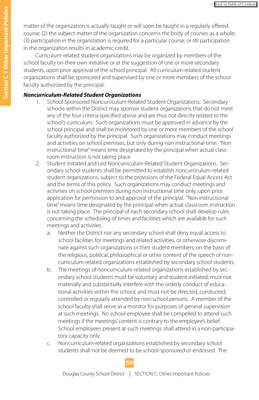matter of the organization is actually taught or will soon be taught in a regularly offered course; (2) the subject matter of the organization concerns the body of courses as a whole; (3) participation in the organization is required for a particular course; or (4) participation in the organization results in academic credit.

Curriculum-related student organizations may be organized by members of the school faculty on their own initiative or at the suggestion of one or more secondary students, upon prior approval of the school principal. All curriculum-related student organizations shall be sponsored and supervised by one or more members of the school faculty authorized by the principal.

#### *Noncurriculum-Related Student Organizations*

- 1. School Sponsored Noncurriculum-Related Student Organizations. Secondary schools within the District may sponsor student organizations that do not meet any of the four criteria specified above and are thus not directly related to the school's curriculum. Such organizations must be approved in advance by the school principal and shall be monitored by one or more members of the school faculty authorized by the principal. Such organizations may conduct meetings and activities on school premises, but only during non instructional time. "Non instructional time" means time designated by the principal when actual classroom instruction is not taking place.
- 2. Student Initiated and Led Noncurriculum-Related Student Organizations. Secondary school students shall be permitted to establish noncurriculum-related student organizations, subject to the provisions of the Federal Equal Access Act and the terms of this policy. Such organizations may conduct meetings and activities on school premises during non instructional time only, upon prior application for permission to and approval of the principal. "Non instructional time" means time designated by the principal when actual classroom instruction is not taking place. The principal of each secondary school shall develop rules concerning the scheduling of times and facilities which are available for such meetings and activities.
	- a. Neither the District nor any secondary school shall deny equal access to school facilities for meetings and related activities, or otherwise discriminate against such organizations or their student members, on the basis of the religious, political, philosophical or other content of the speech of noncurriculum-related organizations established by secondary school students.
	- b. The meetings of noncurriculum-related organizations established by secondary school students must be voluntary and student initiated; must not materially and substantially interfere with the orderly conduct of educational activities within the school; and must not be directed, conducted, controlled or regularly attended by non-school persons. A member of the school faculty shall serve as a monitor for purposes of general supervision at such meetings. No school employee shall be compelled to attend such meetings if the meetings' content is contrary to the employee's belief. School employees present at such meetings shall attend in a non-participatory capacity only.
	- c. Noncurriculum-related organizations established by secondary school students shall not be deemed to be school-sponsored or endorsed. The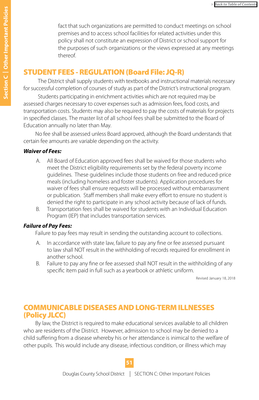<span id="page-50-0"></span>fact that such organizations are permitted to conduct meetings on school premises and to access school facilities for related activities under this policy shall not constitute an expression of District or school support for the purposes of such organizations or the views expressed at any meetings thereof.

## STUDENT FEES - REGULATION (Board File: JQ-R)

The District shall supply students with textbooks and instructional materials necessary for successful completion of courses of study as part of the District's instructional program.

Students participating in enrichment activities which are not required may be assessed charges necessary to cover expenses such as admission fees, food costs, and transportation costs. Students may also be required to pay the costs of materials for projects in specified classes. The master list of all school fees shall be submitted to the Board of Education annually no later than May.

No fee shall be assessed unless Board approved, although the Board understands that certain fee amounts are variable depending on the activity.

#### *Waiver of Fees:*

- A. All Board of Education approved fees shall be waived for those students who meet the District eligibility requirements set by the federal poverty income guidelines. These guidelines include those students on free and reduced-price meals (including homeless and foster students). Application procedures for waiver of fees shall ensure requests will be processed without embarrassment or publication. Staff members shall make every effort to ensure no student is denied the right to participate in any school activity because of lack of funds.
- B. Transportation fees shall be waived for students with an Individual Education Program (IEP) that includes transportation services.

#### *Failure of Pay Fees:*

Failure to pay fees may result in sending the outstanding account to collections.

- A. In accordance with state law, failure to pay any fine or fee assessed pursuant to law shall NOT result in the withholding of records required for enrollment in another school.
- B. Failure to pay any fine or fee assessed shall NOT result in the withholding of any specific item paid in full such as a yearbook or athletic uniform.

Revised January 18, 2018

## COMMUNICABLE DISEASES AND LONG-TERM ILLNESSES (Policy JLCC)

By law, the District is required to make educational services available to all children who are residents of the District. However, admission to school may be denied to a child suffering from a disease whereby his or her attendance is inimical to the welfare of other pupils. This would include any disease, infectious condition, or illness which may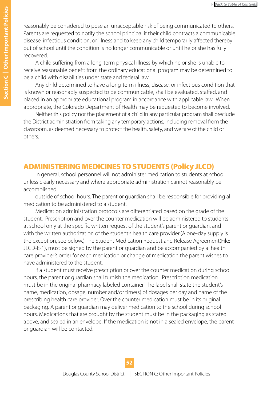<span id="page-51-0"></span>reasonably be considered to pose an unacceptable risk of being communicated to others. Parents are requested to notify the school principal if their child contracts a communicable disease, infectious condition, or illness and to keep any child temporarily affected thereby out of school until the condition is no longer communicable or until he or she has fully recovered.

A child suffering from a long-term physical illness by which he or she is unable to receive reasonable benefit from the ordinary educational program may be determined to be a child with disabilities under state and federal law.

Any child determined to have a long-term illness, disease, or infectious condition that is known or reasonably suspected to be communicable, shall be evaluated, staffed, and placed in an appropriate educational program in accordance with applicable law. When appropriate, the Colorado Department of Health may be requested to become involved.

Neither this policy nor the placement of a child in any particular program shall preclude the District administration from taking any temporary actions, including removal from the classroom, as deemed necessary to protect the health, safety, and welfare of the child or others.

### ADMINISTERING MEDICINES TO STUDENTS (Policy JLCD)

In general, school personnel will not administer medication to students at school unless clearly necessary and where appropriate administration cannot reasonably be accomplished

outside of school hours. The parent or guardian shall be responsible for providing all medication to be administered to a student.

Medication administration protocols are differentiated based on the grade of the student. Prescription and over the counter medication will be administered to students at school only at the specific written request of the student's parent or guardian, and with the written authorization of the student's health care provider.(A one-day supply is the exception, see below.) The Student Medication Request and Release Agreement(File: JLCD-E-1), must be signed by the parent or guardian and be accompanied by a health care provider's order for each medication or change of medication the parent wishes to have administered to the student.

If a student must receive prescription or over the counter medication during school hours, the parent or guardian shall furnish the medication. Prescription medication must be in the original pharmacy labeled container. The label shall state the student's name, medication, dosage, number and/or time(s) of dosages per day and name of the prescribing health care provider. Over the counter medication must be in its original packaging. A parent or guardian may deliver medication to the school during school hours. Medications that are brought by the student must be in the packaging as stated above, and sealed in an envelope. If the medication is not in a sealed envelope, the parent or guardian will be contacted.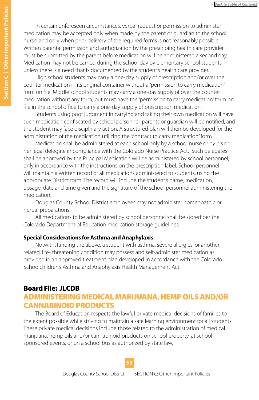<span id="page-52-0"></span>In certain unforeseen circumstances, verbal request or permission to administer medication may be accepted only when made by the parent or guardian to the school nurse, and only when prior delivery of the required forms is not reasonably possible. Written parental permission and authorization by the prescribing health care provider must be submitted by the parent before medication will be administered a second day. Medication may not be carried during the school day by elementary school students unless there is a need that is documented by the student's health care provider.

High school students may carry a one-day supply of prescription and/or over the counter medication in its original container without a "permission to carry medication" form on file. Middle school students may carry a one-day supply of over the counter medication without any form, but must have the "permission to carry medication" form on file in the school office to carry a one-day supply of prescription medication.

Students using poor judgment in carrying and taking their own medication will have such medication confiscated by school personnel, parents or guardian will be notified, and the student may face disciplinary action. A structured plan will then be developed for the administration of the medication utilizing the "contract to carry medication" form.

Medication shall be administered at each school only by a school nurse or by his or her legal delegate in compliance with the Colorado Nurse Practice Act. Such delegates shall be approved by the Principal Medication will be administered by school personnel, only in accordance with the instructions on the prescription label. School personnel will maintain a written record of all medications administered to students, using the appropriate District form. The record will include the student's name, medication, dosage, date and time given and the signature of the school personnel administering the medication.

Douglas County School District employees may not administer homeopathic or herbal preparations.

All medications to be administered by school personnel shall be stored per the Colorado Department of Education medication storage guidelines.

#### **Special Considerations for Asthma and Anaphylaxis**

Notwithstanding the above, a student with asthma, severe allergies, or another related, life- threatening condition may possess and self-administer medication as provided in an approved treatment plan developed in accordance with the Colorado Schoolchildren's Asthma and Anaphylaxis Health Management Act.

## Board File: JLCDB ADMINISTERING MEDICAL MARIJUANA, HEMP OILS AND/OR CANNABINOID PRODUCTS

The Board of Education respects the lawful private medical decisions of families to the extent possible while striving to maintain a safe learning environment for all students. These private medical decisions include those related to the administration of medical marijuana, hemp oils and/or cannabinoid products on school property, at schoolsponsored events, or on a school bus as authorized by state law.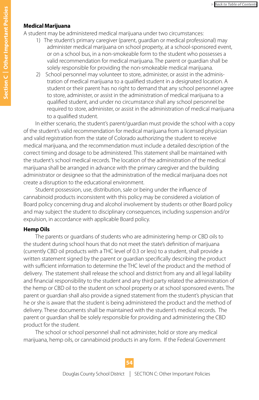#### **Medical Marijuana**

A student may be administered medical marijuana under two circumstances:

- 1) The student's primary caregiver (parent, guardian or medical professional) may administer medical marijuana on school property, at a school-sponsored event, or on a school bus, in a non-smokeable form to the student who possesses a valid recommendation for medical marijuana. The parent or guardian shall be solely responsible for providing the non-smokeable medical marijuana.
- 2) School personnel may volunteer to store, administer, or assist in the administration of medical marijuana to a qualified student in a designated location. A student or their parent has no right to demand that any school personnel agree to store, administer, or assist in the administration of medical marijuana to a qualified student, and under no circumstance shall any school personnel be required to store, administer, or assist in the administration of medical marijuana to a qualified student.

In either scenario, the student's parent/guardian must provide the school with a copy of the student's valid recommendation for medical marijuana from a licensed physician and valid registration from the state of Colorado authorizing the student to receive medical marijuana, and the recommendation must include a detailed description of the correct timing and dosage to be administered. This statement shall be maintained with the student's school medical records. The location of the administration of the medical marijuana shall be arranged in advance with the primary caregiver and the building administrator or designee so that the administration of the medical marijuana does not create a disruption to the educational environment.

Student possession, use, distribution, sale or being under the influence of cannabinoid products inconsistent with this policy may be considered a violation of Board policy concerning drug and alcohol involvement by students or other Board policy and may subject the student to disciplinary consequences, including suspension and/or expulsion, in accordance with applicable Board policy.

#### **Hemp Oils**

The parents or guardians of students who are administering hemp or CBD oils to the student during school hours that do not meet the state's definition of marijuana (currently CBD oil products with a THC level of 0.3 or less) to a student, shall provide a written statement signed by the parent or guardian specifically describing the product with sufficient information to determine the THC level of the product and the method of delivery. The statement shall release the school and district from any and all legal liability and financial responsibility to the student and any third party related the administration of the hemp or CBD oil to the student on school property or at school sponsored events. The parent or guardian shall also provide a signed statement from the student's physician that he or she is aware that the student is being administered the product and the method of delivery. These documents shall be maintained with the student's medical records. The parent or guardian shall be solely responsible for providing and administering the CBD product for the student.

The school or school personnel shall not administer, hold or store any medical marijuana, hemp oils, or cannabinoid products in any form. If the Federal Government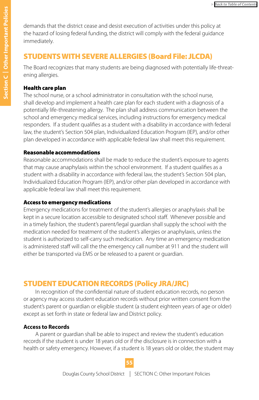<span id="page-54-0"></span>demands that the district cease and desist execution of activities under this policy at the hazard of losing federal funding, the district will comply with the federal guidance immediately.

## STUDENTS WITH SEVERE ALLERGIES (Board File: JLCDA)

The Board recognizes that many students are being diagnosed with potentially life-threatening allergies.

### Health care plan

The school nurse, or a school administrator in consultation with the school nurse, shall develop and implement a health care plan for each student with a diagnosis of a potentially life-threatening allergy. The plan shall address communication between the school and emergency medical services, including instructions for emergency medical responders. If a student qualifies as a student with a disability in accordance with federal law, the student's Section 504 plan, Individualized Education Program (IEP), and/or other plan developed in accordance with applicable federal law shall meet this requirement.

### Reasonable accommodations

Reasonable accommodations shall be made to reduce the student's exposure to agents that may cause anaphylaxis within the school environment. If a student qualifies as a student with a disability in accordance with federal law, the student's Section 504 plan, Individualized Education Program (IEP), and/or other plan developed in accordance with applicable federal law shall meet this requirement.

### Access to emergency medications

Emergency medications for treatment of the student's allergies or anaphylaxis shall be kept in a secure location accessible to designated school staff. Whenever possible and in a timely fashion, the student's parent/legal guardian shall supply the school with the medication needed for treatment of the student's allergies or anaphylaxis, unless the student is authorized to self-carry such medication. Any time an emergency medication is administered staff will call the the emergency call number at 911 and the student will either be transported via EMS or be released to a parent or guardian.

## STUDENT EDUCATION RECORDS (Policy JRA/JRC)

In recognition of the confidential nature of student education records, no person or agency may access student education records without prior written consent from the student's parent or guardian or eligible student (a student eighteen years of age or older) except as set forth in state or federal law and District policy.

## **Access to Records**

A parent or guardian shall be able to inspect and review the student's education records if the student is under 18 years old or if the disclosure is in connection with a health or safety emergency. However, if a student is 18 years old or older, the student may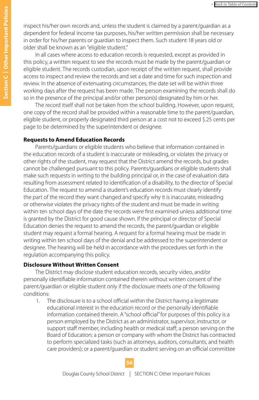inspect his/her own records and, unless the student is claimed by a parent/guardian as a dependent for federal income tax purposes, his/her written permission shall be necessary in order for his/her parents or guardian to inspect them. Such student 18 years old or older shall be known as an "eligible student."

In all cases where access to education records is requested, except as provided in this policy, a written request to see the records must be made by the parent/guardian or eligible student. The records custodian, upon receipt of the written request, shall provide access to inspect and review the records and set a date and time for such inspection and review. In the absence of extenuating circumstances, the date set will be within three working days after the request has been made. The person examining the records shall do so in the presence of the principal and/or other person(s) designated by him or her.

The record itself shall not be taken from the school building. However, upon request, one copy of the record shall be provided within a reasonable time to the parent/guardian, eligible student, or properly designated third person at a cost not to exceed \$.25 cents per page to be determined by the superintendent or designee.

#### **Requests to Amend Education Records**

Parents/guardians or eligible students who believe that information contained in the education records of a student is inaccurate or misleading, or violates the privacy or other rights of the student, may request that the District amend the records, but grades cannot be challenged pursuant to this policy. Parents/guardians or eligible students shall make such requests in writing to the building principal or, in the case of evaluation data resulting from assessment related to identification of a disability, to the director of Special Education. The request to amend a student's education records must clearly identify the part of the record they want changed and specify why it is inaccurate, misleading or otherwise violates the privacy rights of the student and must be made in writing within ten school days of the date the records were first examined unless additional time is granted by the District for good cause shown. If the principal or director of Special Education denies the request to amend the records, the parent/guardian or eligible student may request a formal hearing. A request for a formal hearing must be made in writing within ten school days of the denial and be addressed to the superintendent or designee. The hearing will be held in accordance with the procedures set forth in the regulation accompanying this policy.

#### **Disclosure Without Written Consent**

The District may disclose student education records, security video, and/or personally identifiable information contained therein without written consent of the parent/guardian or eligible student only if the disclosure meets one of the following conditions:

1. The disclosure is to a school official within the District having a legitimate educational interest in the education record or the personally identifiable information contained therein. A "school official" for purposes of this policy is a person employed by the District as an administrator, supervisor, instructor, or support staff member, including health or medical staff; a person serving on the Board of Education; a person or company with whom the District has contracted to perform specialized tasks (such as attorneys, auditors, consultants, and health care providers); or a parent/guardian or student serving on an official committee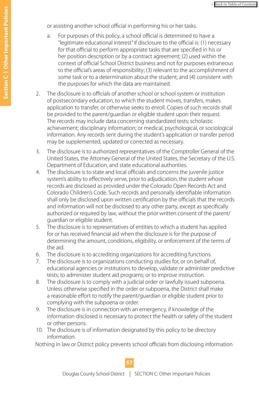or assisting another school official in performing his or her tasks.

- a. For purposes of this policy, a school official is determined to have a "legitimate educational interest" if disclosure to the official is: (1) necessary for that official to perform appropriate tasks that are specified in his or her position description or by a contract agreement; (2) used within the context of official School District business and not for purposes extraneous to the official's areas of responsibility; (3) relevant to the accomplishment of some task or to a determination about the student; and (4) consistent with the purposes for which the data are maintained.
- 2. The disclosure is to officials of another school or school system or institution of postsecondary education, to which the student moves, transfers, makes application to transfer, or otherwise seeks to enroll. Copies of such records shall be provided to the parent/guardian or eligible student upon their request. The records may include data concerning standardized tests; scholastic achievement; disciplinary information; or medical, psychological, or sociological information. Any records sent during the student's application or transfer period may be supplemented, updated or corrected as necessary.
- 3. The disclosure is to authorized representatives of the Comptroller General of the United States, the Attorney General of the United States, the Secretary of the U.S. Department of Education, and state educational authorities.
- 4. The disclosure is to state and local officials and concerns the juvenile justice system's ability to effectively serve, prior to adjudication, the student whose records are disclosed as provided under the Colorado Open Records Act and Colorado Children's Code. Such records and personally identifiable information shall only be disclosed upon written certification by the officials that the records and information will not be disclosed to any other party, except as specifically authorized or required by law, without the prior written consent of the parent/ guardian or eligible student.
- 5. The disclosure is to representatives of entities to which a student has applied for or has received financial aid when the disclosure is for the purpose of determining the amount, conditions, eligibility, or enforcement of the terms of the aid.
- 6. The disclosure is to accrediting organizations for accrediting functions.
- 7. The disclosure is to organizations conducting studies for, or on behalf of, educational agencies or institutions to develop, validate or administer predictive tests; to administer student aid programs; or to improve instruction.
- 8. The disclosure is to comply with a judicial order or lawfully issued subpoena. Unless otherwise specified in the order or subpoena, the District shall make a reasonable effort to notify the parent/guardian or eligible student prior to complying with the subpoena or order.
- 9. The disclosure is in connection with an emergency, if knowledge of the information disclosed is necessary to protect the health or safety of the student or other persons.
- 10. The disclosure is of information designated by this policy to be directory information.

Nothing in law or District policy prevents school officials from disclosing information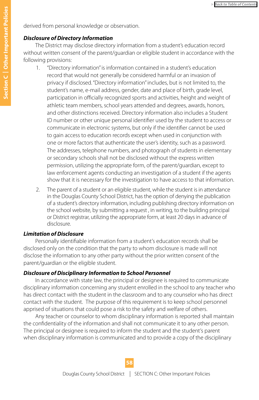derived from personal knowledge or observation.

#### *Disclosure of Directory Information*

The District may disclose directory information from a student's education record without written consent of the parent/guardian or eligible student in accordance with the following provisions:

- 1. "Directory information" is information contained in a student's education record that would not generally be considered harmful or an invasion of privacy if disclosed. "Directory information" includes, but is not limited to, the student's name, e-mail address, gender, date and place of birth, grade level, participation in officially recognized sports and activities, height and weight of athletic team members, school years attended and degrees, awards, honors, and other distinctions received. Directory information also includes a Student ID number or other unique personal identifier used by the student to access or communicate in electronic systems, but only if the identifier cannot be used to gain access to education records except when used in conjunction with one or more factors that authenticate the user's identity, such as a password. The addresses, telephone numbers, and photograph of students in elementary or secondary schools shall not be disclosed without the express written permission, utilizing the appropriate form, of the parent/guardian, except to law enforcement agents conducting an investigation of a student if the agents show that it is necessary for the investigation to have access to that information.
- 2. The parent of a student or an eligible student, while the student is in attendance in the Douglas County School District, has the option of denying the publication of a student's directory information, including publishing directory information on the school website, by submitting a request , in writing, to the building principal or District registrar, utilizing the appropriate form, at least 20 days in advance of disclosure.

#### *Limitation of Disclosure*

Personally identifiable information from a student's education records shall be disclosed only on the condition that the party to whom disclosure is made will not disclose the information to any other party without the prior written consent of the parent/guardian or the eligible student.

#### *Disclosure of Disciplinary Information to School Personnel*

In accordance with state law, the principal or designee is required to communicate disciplinary information concerning any student enrolled in the school to any teacher who has direct contact with the student in the classroom and to any counselor who has direct contact with the student. The purpose of this requirement is to keep school personnel apprised of situations that could pose a risk to the safety and welfare of others.

Any teacher or counselor to whom disciplinary information is reported shall maintain the confidentiality of the information and shall not communicate it to any other person. The principal or designee is required to inform the student and the student's parent when disciplinary information is communicated and to provide a copy of the disciplinary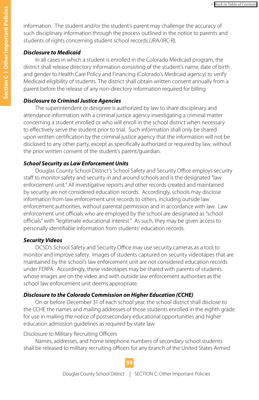information. The student and/or the student's parent may challenge the accuracy of such disciplinary information through the process outlined in the notice to parents and students of rights concerning student school records (JRA/JRC-R).

#### *Disclosure to Medicaid*

In all cases in which a student is enrolled in the Colorado Medicaid program, the district shall release directory information consisting of the student's name, date of birth and gender to Health Care Policy and Financing (Colorado's Medicaid agency) to verify Medicaid eligibility of students. The district shall obtain written consent annually from a parent before the release of any non-directory information required for billing

#### *Disclosure to Criminal Justice Agencies*

The superintendent or designee is authorized by law to share disciplinary and attendance information with a criminal justice agency investigating a criminal matter concerning a student enrolled or who will enroll in the school district when necessary to effectively serve the student prior to trial. Such information shall only be shared upon written certification by the criminal justice agency that the information will not be disclosed to any other party, except as specifically authorized or required by law, without the prior written consent of the student's parent/guardian.

#### *School Security as Law Enforcement Units*

Douglas County School District's School Safety and Security Office employs security staff to monitor safety and security in and around schools and is the designated "law enforcement unit." All investigative reports and other records created and maintained by security are not considered education records. Accordingly, schools may disclose information from law enforcement unit records to others, including outside law enforcement authorities, without parental permission and in accordance with law. Law enforcement unit officials who are employed by the school are designated as "school officials" with "legitimate educational interest." As such, they may be given access to personally identifiable information from students' education records.

#### *Security Videos*

DCSD's School Safety and Security Office may use security cameras as a tool to monitor and improve safety. Images of students captured on security videotapes that are maintained by the school's law enforcement unit are not considered education records under FERPA. Accordingly, these videotapes may be shared with parents of students whose images are on the video and with outside law enforcement authorities as the school law enforcement unit deems appropriate.

#### *Disclosure to the Colorado Commission on Higher Education (CCHE)*

On or before December 31 of each school year, the school district shall disclose to the CCHE the names and mailing addresses of those students enrolled in the eighth grade for use in mailing the notice of postsecondary educational opportunities and higher education admission guidelines as required by state law.

#### Disclosure to Military Recruiting Officers

Names, addresses, and home telephone numbers of secondary school students shall be released to military recruiting officers for any branch of the United States Armed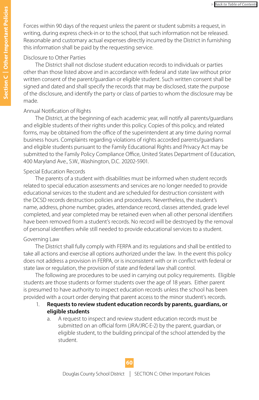Forces within 90 days of the request unless the parent or student submits a request, in writing, during express check-in or to the school, that such information not be released. Reasonable and customary actual expenses directly incurred by the District in furnishing this information shall be paid by the requesting service.

#### Disclosure to Other Parties

The District shall not disclose student education records to individuals or parties other than those listed above and in accordance with federal and state law without prior written consent of the parent/guardian or eligible student. Such written consent shall be signed and dated and shall specify the records that may be disclosed, state the purpose of the disclosure, and identify the party or class of parties to whom the disclosure may be made.

#### Annual Notification of Rights

The District, at the beginning of each academic year, will notify all parents/guardians and eligible students of their rights under this policy. Copies of this policy, and related forms, may be obtained from the office of the superintendent at any time during normal business hours. Complaints regarding violations of rights accorded parents/guardians and eligible students pursuant to the Family Educational Rights and Privacy Act may be submitted to the Family Policy Compliance Office, United States Department of Education, 400 Maryland Ave., S.W., Washington, D.C. 20202-5901.

#### Special Education Records

The parents of a student with disabilities must be informed when student records related to special education assessments and services are no longer needed to provide educational services to the student and are scheduled for destruction consistent with the DCSD records destruction policies and procedures. Nevertheless, the student's name, address, phone number, grades, attendance record, classes attended, grade level completed, and year completed may be retained even when all other personal identifiers have been removed from a student's records. No record will be destroyed by the removal of personal identifiers while still needed to provide educational services to a student.

#### Governing Law

The District shall fully comply with FERPA and its regulations and shall be entitled to take all actions and exercise all options authorized under the law. In the event this policy does not address a provision in FERPA, or is inconsistent with or in conflict with federal or state law or regulation, the provision of state and federal law shall control.

The following are procedures to be used in carrying out policy requirements. Eligible students are those students or former students over the age of 18 years. Either parent is presumed to have authority to inspect education records unless the school has been provided with a court order denying that parent access to the minor student's records.

- 1. **Requests to review student education records by parents, guardians, or eligible students**
	- a. A request to inspect and review student education records must be submitted on an official form (JRA/JRC-E-2) by the parent, guardian, or eligible student, to the building principal of the school attended by the student.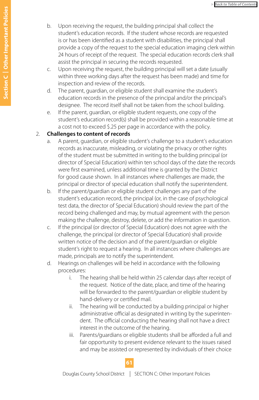- b. Upon receiving the request, the building principal shall collect the student's education records. If the student whose records are requested is or has been identified as a student with disabilities, the principal shall provide a copy of the request to the special education imaging clerk within 24 hours of receipt of the request. The special education records clerk shall assist the principal in securing the records requested.
- c. Upon receiving the request, the building principal will set a date (usually within three working days after the request has been made) and time for inspection and review of the records.
- d. The parent, guardian, or eligible student shall examine the student's education records in the presence of the principal and/or the principal's designee. The record itself shall not be taken from the school building.
- e. If the parent, guardian, or eligible student requests, one copy of the student's education record(s) shall be provided within a reasonable time at a cost not to exceed \$.25 per page in accordance with the policy.

#### 2. **Challenges to content of records**

- a. A parent, guardian, or eligible student's challenge to a student's education records as inaccurate, misleading, or violating the privacy or other rights of the student must be submitted in writing to the building principal (or director of Special Education) within ten school days of the date the records were first examined, unless additional time is granted by the District for good cause shown. In all instances where challenges are made, the principal or director of special education shall notify the superintendent.
- b. If the parent/guardian or eligible student challenges any part of the student's education record, the principal (or, in the case of psychological test data, the director of Special Education) should review the part of the record being challenged and may, by mutual agreement with the person making the challenge, destroy, delete, or add the information in question.
- c. If the principal (or director of Special Education) does not agree with the challenge, the principal (or director of Special Education) shall provide written notice of the decision and of the parent/guardian or eligible student's right to request a hearing. In all instances where challenges are made, principals are to notify the superintendent.
- d. Hearings on challenges will be held in accordance with the following procedures:
	- i. The hearing shall be held within 25 calendar days after receipt of the request. Notice of the date, place, and time of the hearing will be forwarded to the parent/guardian or eligible student by hand-delivery or certified mail.
	- ii. The hearing will be conducted by a building principal or higher administrative official as designated in writing by the superintendent. The official conducting the hearing shall not have a direct interest in the outcome of the hearing.
	- iii. Parents/guardians or eligible students shall be afforded a full and fair opportunity to present evidence relevant to the issues raised and may be assisted or represented by individuals of their choice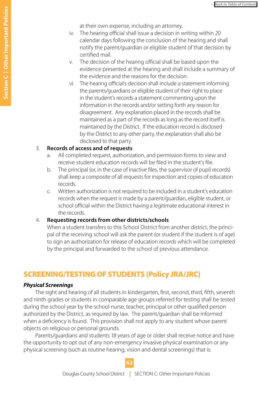at their own expense, including an attorney.

- <span id="page-61-0"></span>iv. The hearing official shall issue a decision in writing within 20 calendar days following the conclusion of the hearing and shall notify the parent/guardian or eligible student of that decision by certified mail.
- v. The decision of the hearing official shall be based upon the evidence presented at the hearing and shall include a summary of the evidence and the reasons for the decision.
- vi. The hearing official's decision shall include a statement informing the parents/guardians or eligible student of their right to place in the student's records a statement commenting upon the information in the records and/or setting forth any reason for disagreement. Any explanation placed in the records shall be maintained as a part of the records as long as the record itself is maintained by the District. If the education record is disclosed by the District to any other party, the explanation shall also be disclosed to that party.

#### 3. **Records of access and of requests**

- a. All completed request, authorization, and permission forms to view and receive student education records will be filed in the student's file.
- b. The principal (or, in the case of inactive files, the supervisor of pupil records) shall keep a composite of all requests for inspection and copies of education records.
- c. Written authorization is not required to be included in a student's education records when the request is made by a parent/guardian, eligible student, or school official within the District having a legitimate educational interest in the records.

#### 4. **Requesting records from other districts/schools**

When a student transfers to this School District from another district, the principal of the receiving school will ask the parent (or student if the student is of age) to sign an authorization for release of education records which will be completed by the principal and forwarded to the school of previous attendance.

## SCREENING/TESTING OF STUDENTS (Policy JRA/JRC)

#### *Physical Screenings*

The sight and hearing of all students in kindergarten, first, second, third, fifth, seventh and ninth grades or students in comparable age groups referred for testing shall be tested during the school year by the school nurse, teacher, principal or other qualified person authorized by the District, as required by law. The parent/guardian shall be informed when a deficiency is found. This provision shall not apply to any student whose parent objects on religious or personal grounds.

Parents/guardians and students 18 years of age or older shall receive notice and have the opportunity to opt out of any non-emergency invasive physical examination or any physical screening (such as routine hearing, vision and dental screenings) that is: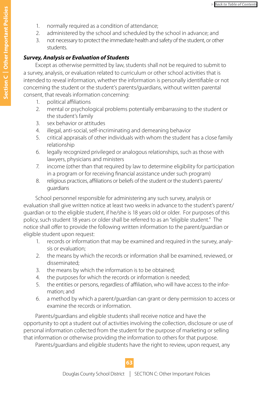- 1. normally required as a condition of attendance;
- 2. administered by the school and scheduled by the school in advance; and
- 3. not necessary to protect the immediate health and safety of the student, or other students.

#### *Survey, Analysis or Evaluation of Students*

Except as otherwise permitted by law, students shall not be required to submit to a survey, analysis, or evaluation related to curriculum or other school activities that is intended to reveal information, whether the information is personally identifiable or not concerning the student or the student's parents/guardians, without written parental consent, that reveals information concerning:

- 1. political affiliations
- 2. mental or psychological problems potentially embarrassing to the student or the student's family
- 3. sex behavior or attitudes
- 4. illegal, anti-social, self-incriminating and demeaning behavior
- 5. critical appraisals of other individuals with whom the student has a close family relationship
- 6. legally recognized privileged or analogous relationships, such as those with lawyers, physicians and ministers
- 7. income (other than that required by law to determine eligibility for participation in a program or for receiving financial assistance under such program)
- 8. religious practices, affiliations or beliefs of the student or the student's parents/ guardians

School personnel responsible for administering any such survey, analysis or evaluation shall give written notice at least two weeks in advance to the student's parent/ guardian or to the eligible student, if he/she is 18 years old or older. For purposes of this policy, such student 18 years or older shall be referred to as an "eligible student." The notice shall offer to provide the following written information to the parent/guardian or eligible student upon request:

- 1. records or information that may be examined and required in the survey, analysis or evaluation;
- 2. the means by which the records or information shall be examined, reviewed, or disseminated;
- 3. the means by which the information is to be obtained;
- 4. the purposes for which the records or information is needed;
- 5. the entities or persons, regardless of affiliation, who will have access to the information; and
- 6. a method by which a parent/guardian can grant or deny permission to access or examine the records or information.

Parents/guardians and eligible students shall receive notice and have the opportunity to opt a student out of activities involving the collection, disclosure or use of personal information collected from the student for the purpose of marketing or selling that information or otherwise providing the information to others for that purpose.

Parents/guardians and eligible students have the right to review, upon request, any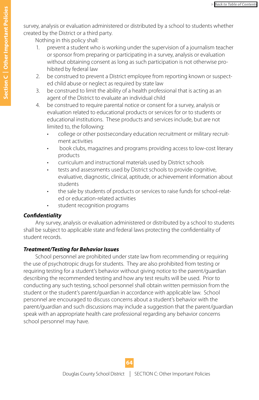survey, analysis or evaluation administered or distributed by a school to students whether created by the District or a third party.

Nothing in this policy shall:

- prevent a student who is working under the supervision of a journalism teacher or sponsor from preparing or participating in a survey, analysis or evaluation without obtaining consent as long as such participation is not otherwise prohibited by federal law
- 2. be construed to prevent a District employee from reporting known or suspected child abuse or neglect as required by state law
- 3. be construed to limit the ability of a health professional that is acting as an agent of the District to evaluate an individual child
- 4. be construed to require parental notice or consent for a survey, analysis or evaluation related to educational products or services for or to students or educational institutions. These products and services include, but are not limited to, the following:
	- college or other postsecondary education recruitment or military recruitment activities
	- book clubs, magazines and programs providing access to low-cost literary products
	- curriculum and instructional materials used by District schools
	- tests and assessments used by District schools to provide cognitive, evaluative, diagnostic, clinical, aptitude, or achievement information about students
	- the sale by students of products or services to raise funds for school-related or education-related activities
	- student recognition programs

#### *Confidentiality*

Any survey, analysis or evaluation administered or distributed by a school to students shall be subject to applicable state and federal laws protecting the confidentiality of student records.

### *Treatment/Testing for Behavior Issues*

School personnel are prohibited under state law from recommending or requiring the use of psychotropic drugs for students. They are also prohibited from testing or requiring testing for a student's behavior without giving notice to the parent/guardian describing the recommended testing and how any test results will be used. Prior to conducting any such testing, school personnel shall obtain written permission from the student or the student's parent/guardian in accordance with applicable law. School personnel are encouraged to discuss concerns about a student's behavior with the parent/guardian and such discussions may include a suggestion that the parent/guardian speak with an appropriate health care professional regarding any behavior concerns school personnel may have.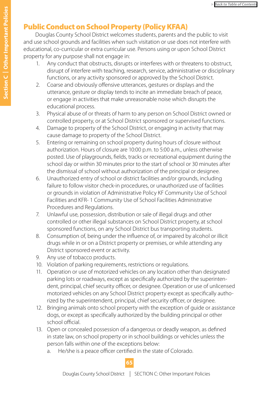## <span id="page-64-0"></span>Public Conduct on School Property (Policy KFAA)

Douglas County School District welcomes students, parents and the public to visit and use school grounds and facilities when such visitation or use does not interfere with educational, co-curricular or extra curricular use. Persons using or upon School District property for any purpose shall not engage in:

- 1. Any conduct that obstructs, disrupts or interferes with or threatens to obstruct, disrupt of interfere with teaching, research, service, administrative or disciplinary functions, or any activity sponsored or approved by the School District.
- 2. Coarse and obviously offensive utterances, gestures or displays and the utterance, gesture or display tends to incite an immediate breach of peace, or engage in activities that make unreasonable noise which disrupts the educational process.
- 3. Physical abuse of or threats of harm to any person on School District owned or controlled property, or at School District sponsored or supervised functions.
- 4. Damage to property of the School District, or engaging in activity that may cause damage to property of the School District.
- 5. Entering or remaining on school property during hours of closure without authorization. Hours of closure are 10:00 p.m. to 5:00 a.m., unless otherwise posted. Use of playgrounds, fields, tracks or recreational equipment during the school day or within 30 minutes prior to the start of school or 30 minutes after the dismissal of school without authorization of the principal or designee.
- 6. Unauthorized entry of school or district facilities and/or grounds, including failure to follow visitor check-in procedures, or unauthorized use of facilities or grounds in violation of Administrative Policy KF Community Use of School Facilities and KFR- 1 Community Use of School Facilities Administrative Procedures and Regulations.
- 7. Unlawful use, possession, distribution or sale of illegal drugs and other controlled or other illegal substances on School District property, at school sponsored functions, on any School District bus transporting students.
- 8. Consumption of, being under the influence of, or impaired by alcohol or illicit drugs while in or on a District property or premises, or while attending any District sponsored event or activity.
- 9. Any use of tobacco products.
- 10. Violation of parking requirements, restrictions or regulations.
- 11. Operation or use of motorized vehicles on any location other than designated parking lots or roadways, except as specifically authorized by the superintendent, principal, chief security officer, or designee. Operation or use of unlicensed motorized vehicles on any School District property except as specifically authorized by the superintendent, principal, chief security officer, or designee.
- 12. Bringing animals onto school property with the exception of guide or assistance dogs, or except as specifically authorized by the building principal or other school official.
- 13. Open or concealed possession of a dangerous or deadly weapon, as defined in state law, on school property or in school buildings or vehicles unless the person falls within one of the exceptions below:
	- a. He/she is a peace officer certified in the state of Colorado.